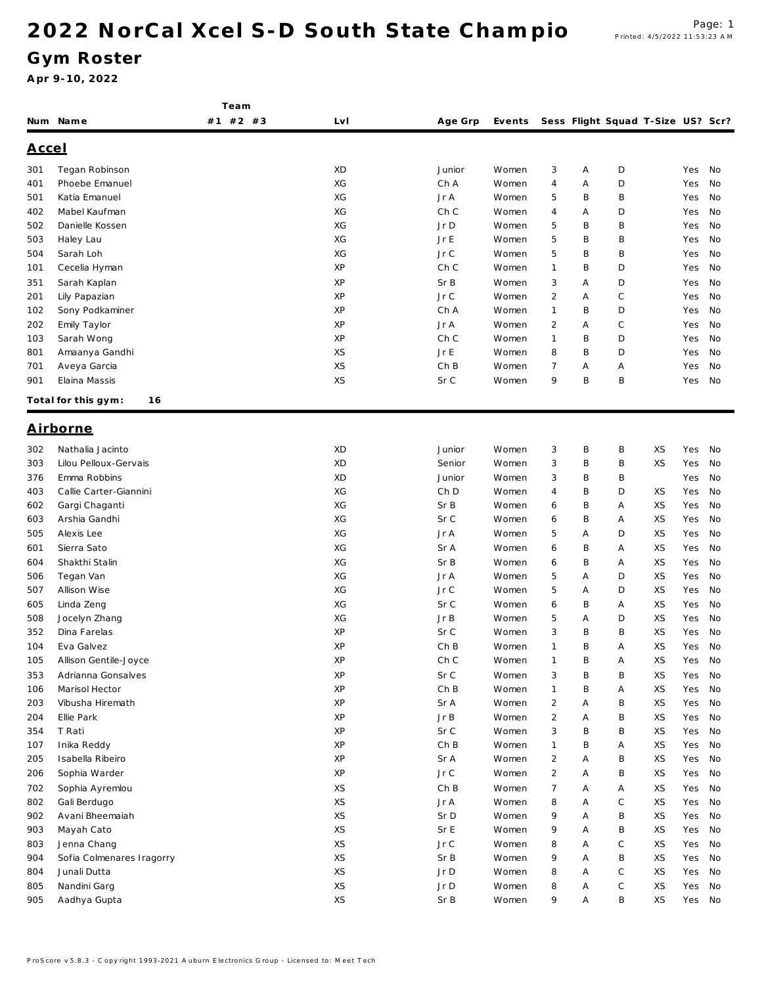Team

### Gym Roster

|              | Num Name                                    | $#2$ #3<br>#1 | LvI      | Age Grp     | Events         |                                  |        | Sess Flight Squad T-Size US? Scr? |          |            |          |
|--------------|---------------------------------------------|---------------|----------|-------------|----------------|----------------------------------|--------|-----------------------------------|----------|------------|----------|
| <u>Accel</u> |                                             |               |          |             |                |                                  |        |                                   |          |            |          |
| 301          | Tegan Robinson                              |               | XD       | Junior      | Women          | 3                                | Α      | D                                 |          | Yes        | No       |
| 401          | Phoebe Emanuel                              |               | XG       | Ch A        | Women          | 4                                | Α      | D                                 |          | Yes        | No       |
| 501          | Katia Emanuel                               |               | ХG       | Jr A        | Women          | 5                                | B      | B                                 |          | Yes        | No       |
| 402          | Mabel Kaufman                               |               | XG       | Ch C        | Women          | 4                                | Α      | D                                 |          | Yes        | No       |
| 502          | Danielle Kossen                             |               | XG       | Jr D        | Women          | 5                                | B      | Β                                 |          | Yes        | No       |
| 503          | Haley Lau                                   |               | XG       | Jr E        | Women          | 5                                | B      | Β                                 |          | Yes        | No       |
| 504          | Sarah Loh                                   |               | XG       | JrC         | Women          | 5                                | B      | Β                                 |          | Yes        | No       |
| 101          | Cecelia Hyman                               |               | XP       | Ch C        | Women          | 1                                | B      | D                                 |          | Yes        | No       |
| 351          | Sarah Kaplan                                |               | ΧP       | Sr B        | Women          | 3                                | Α      | D                                 |          | Yes        | No       |
| 201          | Lily Papazian                               |               | ΧP       | JrC         | Women          | 2                                | Α      | С                                 |          | Yes        | No       |
| 102          | Sony Podkaminer                             |               | XP       | Ch A        | Women          | 1                                | B      | D                                 |          | Yes        | No       |
| 202          | Emily Taylor                                |               | XP       | Jr A        | Women          | $\overline{2}$                   | Α      | C                                 |          | Yes        | No       |
| 103          | Sarah Wong                                  |               | XP       | Ch C        | Women          | $\mathbf{1}$                     | B      | D                                 |          | Yes        | No       |
| 801          | Amaanya Gandhi                              |               | XS       | Jr E        | Women          | 8                                | B      | D                                 |          | Yes        | No       |
| 701          | Aveya Garcia                                |               | XS       | ChB         | Women          | 7                                | Α      | Α                                 |          | Yes        | No       |
| 901          | Elaina Massis                               |               | XS       | Sr C        | Women          | 9                                | B      | B                                 |          | Yes        | No       |
|              | Total for this gym:<br>16                   |               |          |             |                |                                  |        |                                   |          |            |          |
|              | <u>Airborne</u>                             |               |          |             |                |                                  |        |                                   |          |            |          |
| 302          | Nathalia Jacinto                            |               | XD       | Junior      | Women          | 3                                | Β      | Β                                 | XS       | Yes        | No       |
| 303          | Lilou Pelloux-Gervais                       |               | XD       | Senior      | Women          | 3                                | Β      | Β                                 | XS       | Yes        | No       |
| 376          | Emma Robbins                                |               | XD       | Junior      | Women          | 3                                | Β      | Β                                 |          | Yes        | No       |
| 403          | Callie Carter-Giannini                      |               | XG       | Ch D        | Women          | 4                                | B      | D                                 | XS       | Yes        | No       |
| 602          | Gargi Chaganti                              |               | XG       | Sr B        | Women          | 6                                | Β      | Α                                 | XS       | Yes        | No       |
| 603          | Arshia Gandhi                               |               | XG       | Sr C        | Women          | 6                                | Β      | Α                                 | XS       | Yes        | No       |
| 505          | Alexis Lee                                  |               | XG       | Jr A        | Women          | 5                                | Α      | D                                 | XS       | Yes        | No       |
|              | Sierra Sato                                 |               | XG       | Sr A        |                |                                  | Β      | Α                                 | XS       | Yes        | No       |
| 601          | Shakthi Stalin                              |               | XG       | Sr B        | Women          | 6                                | B      |                                   | XS       |            |          |
| 604<br>506   |                                             |               | ХG       | Jr A        | Women<br>Women | 6<br>5                           | Α      | Α<br>D                            | XS       | Yes<br>Yes | No<br>No |
|              | Tegan Van                                   |               | ХG       |             |                |                                  | Α      | D                                 | XS       |            |          |
| 507<br>605   | Allison Wise                                |               | ХG       | Jr C        | Women          | 5                                | Β      |                                   | XS       | Yes        | No       |
|              | Linda Zeng                                  |               | ХG       | Sr C        | Women          | 6                                |        | Α<br>D                            | XS       | Yes        | No       |
| 508<br>352   | Jocelyn Zhang<br>Dina Farelas               |               | ΧP       | JrB<br>Sr C | Women          | 5                                | Α<br>Β | Β                                 | XS       | Yes        | No<br>No |
|              |                                             |               | ΧP       | ChB         | Women          | 3<br>1                           | Β      |                                   | XS       | Yes        |          |
| 104          | Eva Galvez                                  |               | XP       | Ch C        | Women          | $\mathbf{1}$                     | B      | Α<br>Α                            | XS       | Yes<br>Yes | No<br>No |
| 105          | Allison Gentile-Joyce<br>Adrianna Gonsalves |               |          | SrC         | Women          |                                  |        |                                   | XS       |            |          |
| 353          | Marisol Hector                              |               | ΧP<br>XP |             | Women          | 3                                | B      | B                                 |          | Yes        | No       |
| 106          | Vibusha Hiremath                            |               | XP       | ChB<br>Sr A | Women          | $\mathbf{1}$                     | B<br>Α | Α<br>B                            | XS<br>XS | Yes<br>Yes | No<br>No |
| 203          |                                             |               | XP       | JrB         | Women          | $\overline{2}$<br>$\overline{2}$ |        | Β                                 | XS       |            | No       |
| 204          | Ellie Park                                  |               |          | Sr C        | Women          |                                  | Α      |                                   |          | Yes        |          |
| 354          | T Rati                                      |               | ΧP<br>XP | ChB         | Women          | 3                                | Β<br>B | Β                                 | XS       | Yes        | No       |
| 107          | Inika Reddy                                 |               | XP       |             | Women          | $\mathbf{1}$                     |        | Α                                 | XS       | Yes        | No       |
| 205          | Isabella Ribeiro<br>Sophia Warder           |               | XP       | Sr A        | Women          | $\overline{2}$                   | Α      | В                                 | XS       | Yes        | No       |
| 206          |                                             |               |          | JrC         | Women          | $\overline{2}$                   | Α      | В                                 | XS       | Yes        | No       |
| 702          | Sophia Ayremlou                             |               | XS       | ChB         | Women          | $\overline{7}$                   | Α      | Α                                 | XS       | Yes        | No       |
| 802          | Gali Berdugo                                |               | XS       | Jr A        | Women          | 8                                | Α      | C                                 | XS       | Yes        | No       |
| 902          | Avani Bheemaiah                             |               | XS       | Sr D        | Women          | 9                                | Α      | B                                 | XS       | Yes        | No       |
| 903          | Mayah Cato                                  |               | XS       | Sr E        | Women          | 9                                | Α      | B                                 | XS       | Yes        | No       |
| 803          | Jenna Chang                                 |               | XS       | Jr C        | Women          | 8                                | Α      | C                                 | XS       | Yes        | No       |
| 904          | Sofia Colmenares Iragorry                   |               | XS       | Sr B        | Women          | 9                                | Α      | B                                 | XS       | Yes        | No       |
| 804          | Junali Dutta                                |               | XS       | Jr D        | Women          | 8                                | A      | C                                 | XS       | Yes        | No       |
| 805          | Nandini Garg                                |               | XS       | Jr D        | Women          | 8                                | Α      | C                                 | XS       | Yes        | No       |
| 905          | Aadhya Gupta                                |               | XS       | Sr B        | Women          | 9                                | Α      | В                                 | XS       | Yes No     |          |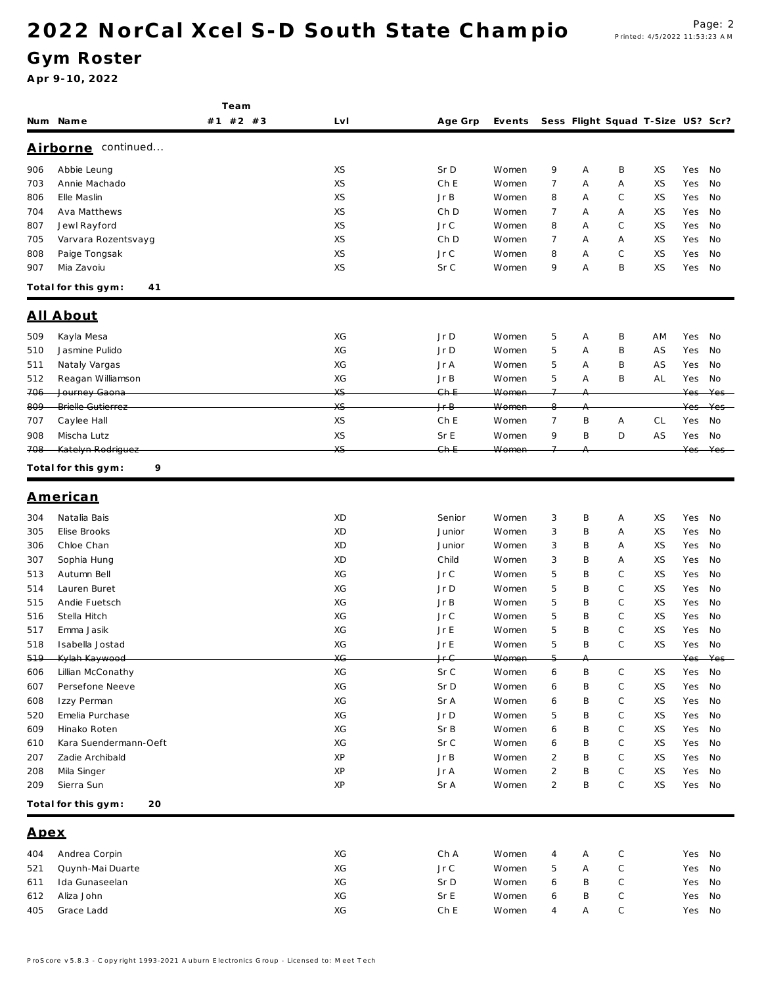### Gym Roster

|            |                                 | Team     |          |              |                |                |           |                                   |          |                 |            |
|------------|---------------------------------|----------|----------|--------------|----------------|----------------|-----------|-----------------------------------|----------|-----------------|------------|
|            | Num Name                        | #1 #2 #3 | Lv I     | Age Grp      | Events         |                |           | Sess Flight Squad T-Size US? Scr? |          |                 |            |
|            | Airborne continued              |          |          |              |                |                |           |                                   |          |                 |            |
|            | Abbie Leung                     |          | XS       | Sr D         | Women          | 9              |           | B                                 | XS       | Yes             | No         |
| 906<br>703 | Annie Machado                   |          | XS       | Ch E         | Women          | $\overline{7}$ | Α<br>Α    | Α                                 | XS       | Yes             | No         |
| 806        | Elle Maslin                     |          | XS       | Jr B         | Women          | 8              | Α         | C                                 | XS       | Yes             | No         |
| 704        | Ava Matthews                    |          | XS       | Ch D         | Women          | 7              | Α         | Α                                 | XS       | Yes             | No         |
| 807        | Jewl Rayford                    |          | XS       | Jr C         | Women          | 8              | A         | $\mathsf C$                       | XS       | Yes             | No         |
| 705        | Varvara Rozentsvayg             |          | XS       | Ch D         | Women          | $\overline{7}$ | Α         | Α                                 | XS       | Yes             | No         |
| 808        | Paige Tongsak                   |          | XS       | Jr C         | Women          | 8              | Α         | $\mathsf{C}$                      | XS       | Yes             | No         |
| 907        | Mia Zavoiu                      |          | XS       | Sr C         | Women          | 9              | Α         | B                                 | XS       | Yes             | No         |
|            | Total for this gym:<br>41       |          |          |              |                |                |           |                                   |          |                 |            |
|            | All About                       |          |          |              |                |                |           |                                   |          |                 |            |
|            |                                 |          |          |              |                |                |           |                                   |          |                 |            |
| 509        | Kayla Mesa                      |          | XG<br>XG | Jr D         | Women          | 5              | Α         | B                                 | ΑM       | Yes             | No         |
| 510<br>511 | Jasmine Pulido<br>Nataly Vargas |          | XG       | Jr D<br>Jr A | Women<br>Women | 5<br>5         | Α<br>Α    | B<br>B                            | AS<br>AS | Yes<br>Yes      | No<br>No   |
| 512        | Reagan Williamson               |          | XG       | Jr B         | Women          | 5              | Α         | B                                 | ΑL       | Yes             | No         |
| 706        | Journey Gaona                   |          | XS       | $Gh-E$       | Women          | $\overline{7}$ |           |                                   |          | Yes             | Yes        |
| 809        | <b>Brielle Gutierrez</b>        |          | XS       | Jr B         | Women          | q              |           |                                   |          | Yes             | Yes        |
| 707        | Caylee Hall                     |          | XS       | Ch E         | Women          | $\overline{7}$ | B         | Α                                 | CL       | Yes             | No         |
| 908        | Mischa Lutz                     |          | XS       | Sr E         | Women          | 9              | B         | D                                 | AS       | Yes             | No         |
| 708        | Katelyn Rodriguez               |          | XS.      | $Gh-E$       | Women          | $\overline{ }$ |           |                                   |          | Yes             | Yes        |
|            | 9<br>Total for this gym:        |          |          |              |                |                |           |                                   |          |                 |            |
|            | <u>American</u>                 |          |          |              |                |                |           |                                   |          |                 |            |
| 304        | Natalia Bais                    |          | XD       | Senior       | Women          | 3              | Β         | Α                                 | XS       | Yes             | No         |
| 305        | Elise Brooks                    |          | XD       | Junior       | Women          | $\sqrt{3}$     | B         | Α                                 | XS       | Yes             | No         |
| 306        | Chloe Chan                      |          | XD       | Junior       | Women          | 3              | B         | Α                                 | XS       | Yes             | No         |
| 307        | Sophia Hung                     |          | XD       | Child        | Women          | 3              | B         | Α                                 | XS       | Yes             | No         |
| 513        | Autumn Bell                     |          | XG       | Jr C         | Women          | 5              | Β         | C                                 | XS       | Yes             | No         |
| 514        | Lauren Buret                    |          | XG       | Jr D         | Women          | 5              | Β         | C                                 | XS       | Yes             | No         |
| 515        | Andie Fuetsch                   |          | XG       | Jr B         | Women          | 5              | B         | C                                 | XS       | Yes             | No         |
| 516        | Stella Hitch                    |          | XG       | Jr C         | Women          | 5              | Β         | C                                 | XS       | Yes             | No         |
| 517        | Emma Jasik                      |          | XG       | Jr E         | Women          | 5              | B         | C                                 | XS       | Yes             | No         |
| 518        | Isabella Jostad                 |          | XG       | Jr E         | Women          | 5              | B         | $\mathsf{C}$                      | XS       | Yes             | No         |
| 519        | Kylah Kaywood                   |          | XG       | Ir $\cap$    | $M_{\rm Q}$    | E.             | $\Lambda$ |                                   |          | $V \cap \Gamma$ | $V \cap r$ |
| 606        | Lillian McConathy               |          | XG       | Sr C         | Women          | 6              | B         | C                                 | XS       | Yes             | No         |
| 607        | Persefone Neeve                 |          | XG       | Sr D         | Women          | 6              | B         | $\mathsf C$                       | XS       | Yes             | No         |
| 608        | Izzy Perman                     |          | XG       | Sr A         | Women          | 6              | Β         | $\mathsf C$                       | XS       | Yes             | No         |
| 520        | Emelia Purchase                 |          | XG       | Jr D         | Women          | 5              | Β         | $\mathsf C$                       | XS       | Yes             | No         |
| 609        | Hinako Roten                    |          | XG       | Sr B         | Women          | 6              | B         | $\mathsf C$                       | XS       | Yes             | No         |
| 610        | Kara Suendermann-Oeft           |          | XG       | Sr C         | Women          | 6              | Β         | $\mathsf C$                       | ΧS       | Yes             | No         |
| 207        | Zadie Archibald                 |          | XP       | JrB          | Women          | 2              | Β         | C                                 | XS       | Yes             | No         |
| 208        | Mila Singer                     |          | XP       | Jr A         | Women          | 2              | Β         | C                                 | XS       | Yes             | No         |
| 209        | Sierra Sun                      |          | ΧP       | Sr A         | Women          | $\overline{2}$ | B         | $\mathbb C$                       | XS       | Yes No          |            |
|            | 20<br>Total for this gym:       |          |          |              |                |                |           |                                   |          |                 |            |
| Apex       |                                 |          |          |              |                |                |           |                                   |          |                 |            |
| 404        | Andrea Corpin                   |          | XG       | Ch A         | Women          | 4              | Α         | $\mathsf C$                       |          | Yes             | No         |
| 521        | Quynh-Mai Duarte                |          | XG       | Jr C         | Women          | 5              | Α         | $\mathsf C$                       |          | Yes             | No         |
| 611        | Ida Gunaseelan                  |          | XG       | Sr D         | Women          | 6              | B         | $\mathsf C$                       |          | Yes             | No         |
| 612        | Aliza John                      |          | XG       | Sr E         | Women          | 6              | B         | C                                 |          | Yes             | No         |
| 405        | Grace Ladd                      |          | XG       | ChE          | Women          | 4              | Α         | $\mathsf C$                       |          | Yes No          |            |
|            |                                 |          |          |              |                |                |           |                                   |          |                 |            |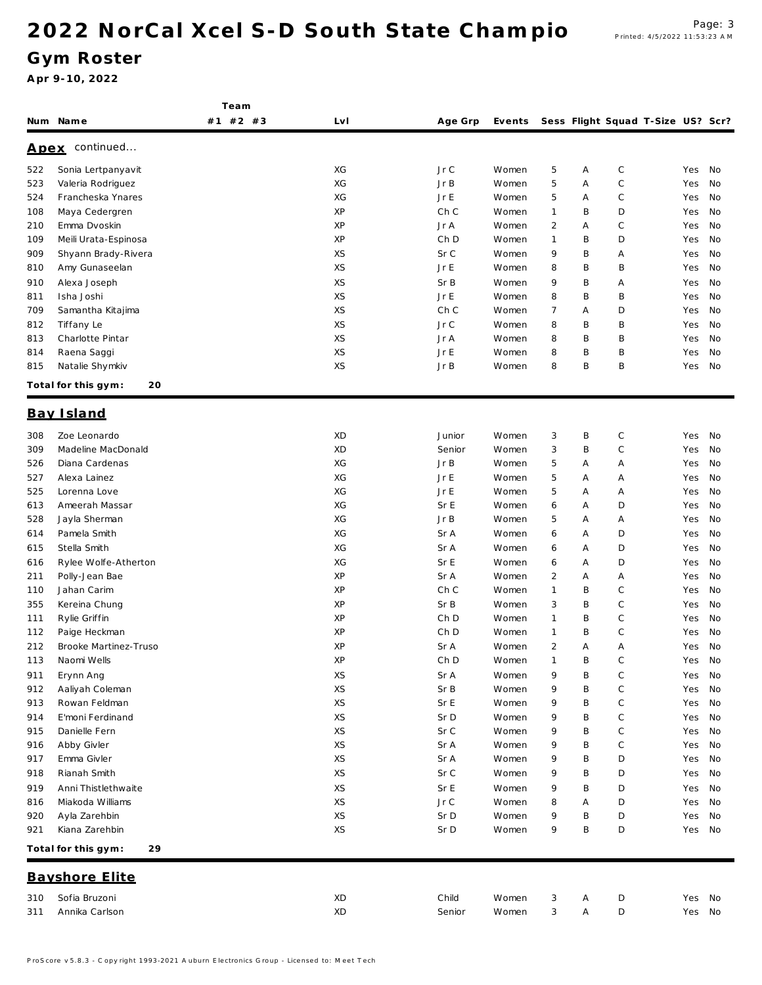Team

### Gym Roster

|             | Num Name                  | $#2$ #3<br>#1 | LvI | Age Grp    | Events |                |   | Sess Flight Squad T-Size US? Scr? |        |    |
|-------------|---------------------------|---------------|-----|------------|--------|----------------|---|-----------------------------------|--------|----|
| <u>Apex</u> | continued                 |               |     |            |        |                |   |                                   |        |    |
| 522         | Sonia Lertpanyavit        |               | XG  | Jr C       | Women  | 5              | Α | $\mathbb C$                       | Yes    | No |
| 523         | Valeria Rodriguez         |               | XG  | JrB        | Women  | 5              | Α | C                                 | Yes    | No |
| 524         | Francheska Ynares         |               | XG  | Jr E       | Women  | 5              | A | C                                 | Yes    | No |
| 108         | Maya Cedergren            |               | XP  | Ch C       | Women  | $\mathbf{1}$   | B | D                                 | Yes    | No |
| 210         | Emma Dvoskin              |               | XP  | Jr A       | Women  | $\overline{2}$ | A | С                                 | Yes    | No |
| 109         | Meili Urata-Espinosa      |               | ΧP  | Ch D       | Women  | $\mathbf{1}$   | B | D                                 | Yes    | No |
| 909         | Shyann Brady-Rivera       |               | XS  | Sr C       | Women  | 9              | B | Α                                 | Yes    | No |
| 810         | Amy Gunaseelan            |               | XS  | Jr E       | Women  | 8              | B | B                                 | Yes    | No |
| 910         | Alexa Joseph              |               | XS  | Sr B       | Women  | 9              | B | Α                                 | Yes    | No |
| 811         | Isha Joshi                |               | XS  | Jr E       | Women  | 8              | B | B                                 | Yes    | No |
| 709         | Samantha Kitajima         |               | XS  | Ch C       | Women  | $\overline{7}$ | Α | D                                 | Yes    | No |
| 812         | Tiffany Le                |               | XS  | Jr C       | Women  | 8              | B | B                                 | Yes    | No |
| 813         | Charlotte Pintar          |               | XS  | Jr A       | Women  | 8              | B | B                                 | Yes    | No |
| 814         | Raena Saggi               |               | XS  | Jr E       | Women  | 8              | B | B                                 | Yes    | No |
| 815         | Natalie Shymkiv           |               | XS  | JrB        | Women  | 8              | B | B                                 | Yes    | No |
|             | Total for this gym:<br>20 |               |     |            |        |                |   |                                   |        |    |
|             | Bay Island                |               |     |            |        |                |   |                                   |        |    |
| 308         | Zoe Leonardo              |               | XD  | Junior     | Women  | 3              | B | $\mathbb C$                       | Yes    | No |
| 309         | Madeline MacDonald        |               | XD  | Senior     | Women  | 3              | B | $\mathbb C$                       | Yes    | No |
| 526         | Diana Cardenas            |               | ХG  | JrB        | Women  | 5              | Α | Α                                 | Yes    | No |
| 527         | Alexa Lainez              |               | XG  | Jr E       | Women  | 5              | Α | A                                 | Yes    | No |
| 525         | Lorenna Love              |               | ХG  | Jr E       | Women  | 5              | Α | Α                                 | Yes    | No |
| 613         | Ameerah Massar            |               | XG  | Sr E       | Women  | 6              | Α | D                                 | Yes    | No |
| 528         | Jayla Sherman             |               | ХG  | JrB        | Women  | 5              | Α | Α                                 | Yes    | No |
| 614         | Pamela Smith              |               | XG  | Sr A       | Women  | 6              | A | D                                 | Yes    | No |
| 615         | Stella Smith              |               | XG  | Sr A       | Women  | 6              | A | D                                 | Yes    | No |
| 616         | Rylee Wolfe-Atherton      |               | ХG  | Sr E       | Women  | 6              | Α | D                                 | Yes    | No |
| 211         | Polly-Jean Bae            |               | XP  | Sr A       | Women  | 2              | A | Α                                 | Yes    | No |
| 110         | Jahan Carim               |               | ΧP  | Ch C       | Women  | $\mathbf{1}$   | B | C                                 | Yes    | No |
| 355         | Kereina Chung             |               | ΧP  | Sr B       | Women  | 3              | B | C                                 | Yes    | No |
| 111         | Rylie Griffin             |               | ΧP  | Ch D       | Women  | $\mathbf{1}$   | Β | C                                 | Yes    | No |
| 112         | Paige Heckman             |               | ΧP  | Ch D       | Women  | $\mathbf{1}$   | B | C                                 | Yes    | No |
| 212         | Brooke Martinez-Truso     |               | ΧP  | Sr A       | Women  | $\overline{2}$ | Α | Α                                 | Yes    | No |
| 113         | Naomi Wells               |               | XP  | Ch D       | Women  | $\mathbf{1}$   | B | C                                 | Yes    | No |
| 911         | Erynn Ang                 |               | ΧS  | Sr A       | Women  | 9              | Β | С                                 | Yes    | No |
| 912         | Aaliyah Coleman           |               | XS  | Sr B       | Women  | 9              | B | $\mathsf C$                       | Yes    | No |
| 913         | Rowan Feldman             |               | XS  | Sr E       | Women  | 9              | B | $\mathsf C$                       | Yes    | No |
| 914         | E'moni Ferdinand          |               | XS  | Sr D       | Women  | 9              | B | С                                 | Yes    | No |
| 915         | Danielle Fern             |               | XS  | Sr C       | Women  | 9              | Β | C                                 | Yes    | No |
| 916         | Abby Givler               |               | XS  | Sr A       | Women  | 9              | Β | С                                 | Yes    | No |
| 917         | Emma Givler               |               | XS  | Sr A       | Women  | 9              | Β | D                                 | Yes    | No |
| 918         | Rianah Smith              |               | XS  | Sr C       | Women  | 9              | Β | D                                 | Yes    | No |
| 919         | Anni Thistlethwaite       |               | XS  | Sr E       | Women  | 9              | Β | D                                 | Yes    | No |
| 816         | Miakoda Williams          |               | XS  | $J\,r\,$ C | Women  | 8              | Α | D                                 | Yes    | No |
| 920         | Ayla Zarehbin             |               | XS  | Sr D       | Women  | 9              | B | D                                 | Yes    | No |
| 921         | Kiana Zarehbin            |               | XS  | Sr D       | Women  | 9              | B | D                                 | Yes No |    |
|             | Total for this gym:<br>29 |               |     |            |        |                |   |                                   |        |    |
|             | Bayshore Elite            |               |     |            |        |                |   |                                   |        |    |
|             |                           |               |     |            |        |                |   |                                   |        |    |
| 310         | Sofia Bruzoni             |               | XD  | Child      | Women  | 3              | Α | D                                 | Yes No |    |
| 311         | Annika Carlson            |               | XD  | Senior     | Women  | 3              | Α | D                                 | Yes No |    |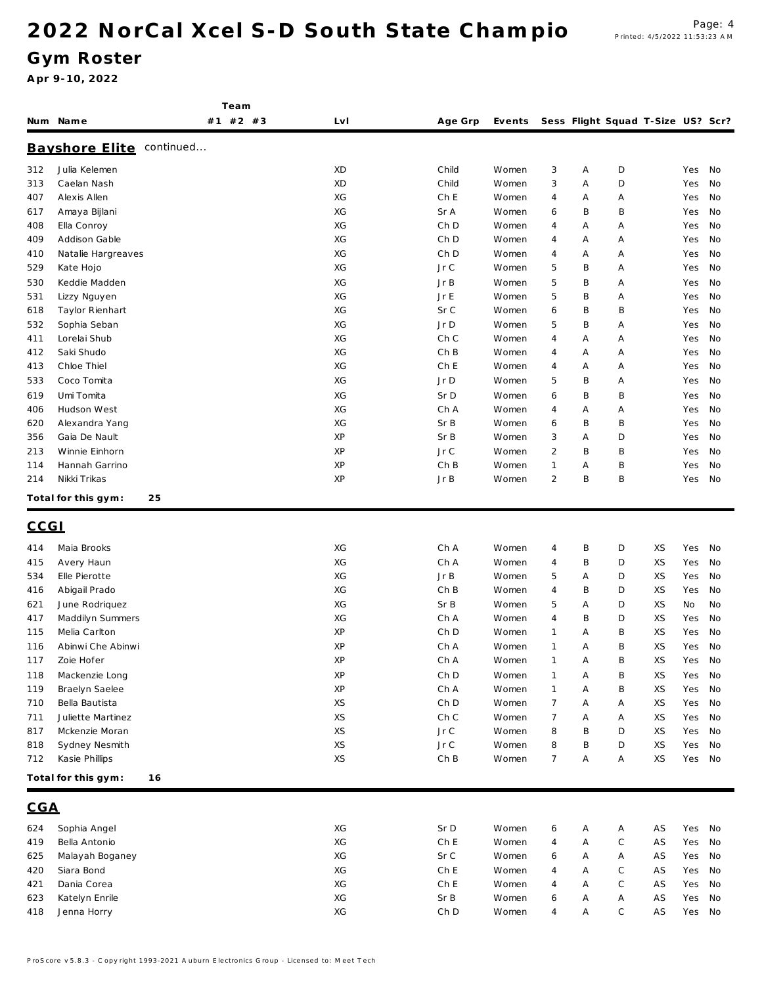Team

### Gym Roster

|      | Num Name                  | #1 #2 #3 | Lv I | Age Grp | Events |                |   | Sess Flight Squad T-Size US? Scr? |    |        |    |
|------|---------------------------|----------|------|---------|--------|----------------|---|-----------------------------------|----|--------|----|
|      | Bayshore Elite continued  |          |      |         |        |                |   |                                   |    |        |    |
| 312  | Julia Kelemen             |          | XD   | Child   | Women  | 3              | Α | D                                 |    | Yes    | No |
| 313  | Caelan Nash               |          | XD   | Child   | Women  | 3              | Α | D                                 |    | Yes    | No |
| 407  | Alexis Allen              |          | XG   | Ch E    | Women  | 4              | Α | Α                                 |    | Yes    | No |
| 617  | Amaya Bijlani             |          | XG   | Sr A    | Women  | 6              | Β | B                                 |    | Yes    | No |
| 408  | Ella Conroy               |          | XG   | Ch D    | Women  | 4              | Α | Α                                 |    | Yes    | No |
| 409  | Addison Gable             |          | XG   | Ch D    | Women  | 4              | Α | Α                                 |    | Yes    | No |
| 410  | Natalie Hargreaves        |          | XG   | Ch D    | Women  | 4              | A | Α                                 |    | Yes    | No |
| 529  | Kate Hojo                 |          | XG   | JrC     | Women  | 5              | B | Α                                 |    | Yes    | No |
| 530  | Keddie Madden             |          | XG   | JrB     | Women  | 5              | B | Α                                 |    | Yes    | No |
| 531  | Lizzy Nguyen              |          | XG   | Jr E    | Women  | 5              | B | Α                                 |    | Yes    | No |
| 618  | Taylor Rienhart           |          | XG   | Sr C    | Women  | 6              | B | B                                 |    | Yes    | No |
| 532  | Sophia Seban              |          | XG   | Jr D    | Women  | 5              | B | Α                                 |    | Yes    | No |
| 411  | Lorelai Shub              |          | XG   | Ch C    | Women  | 4              | Α | Α                                 |    | Yes    | No |
| 412  | Saki Shudo                |          | XG   | Ch B    | Women  | 4              | Α | Α                                 |    | Yes    | No |
| 413  | Chloe Thiel               |          | XG   | Ch E    | Women  | 4              | Α | Α                                 |    | Yes    | No |
| 533  | Coco Tomita               |          | XG   | Jr D    | Women  | 5              | B | Α                                 |    | Yes    | No |
| 619  | Umi Tomita                |          | XG   | Sr D    | Women  | 6              | B | B                                 |    | Yes    | No |
| 406  | Hudson West               |          | XG   | Ch A    | Women  | 4              | Α | Α                                 |    | Yes    | No |
| 620  | Alexandra Yang            |          | XG   | Sr B    | Women  | 6              | B | B                                 |    | Yes    | No |
| 356  | Gaia De Nault             |          | ΧP   | Sr B    | Women  | 3              | Α | D                                 |    | Yes    | No |
| 213  | Winnie Einhorn            |          | XP   | Jr C    | Women  | $\overline{2}$ | B | B                                 |    | Yes    | No |
| 114  | Hannah Garrino            |          | ΧP   | ChB     | Women  | $\mathbf{1}$   | Α | B                                 |    | Yes    | No |
| 214  | Nikki Trikas              |          | XP   | JrB     | Women  | $\overline{2}$ | B | B                                 |    | Yes    | No |
|      | 25<br>Total for this gym: |          |      |         |        |                |   |                                   |    |        |    |
| CCGI |                           |          |      |         |        |                |   |                                   |    |        |    |
| 414  | Maia Brooks               |          | XG   | Ch A    | Women  | 4              | Β | D                                 | XS | Yes    | No |
| 415  | Avery Haun                |          | XG   | Ch A    | Women  | 4              | B | D                                 | XS | Yes    | No |
| 534  | Elle Pierotte             |          | XG   | JrB     | Women  | 5              | Α | D                                 | XS | Yes    | No |
| 416  | Abigail Prado             |          | XG   | ChB     | Women  | 4              | B | D                                 | XS | Yes    | No |
| 621  | June Rodriguez            |          | XG   | Sr B    | Women  | 5              | A | D                                 | XS | No     | No |
| 417  | Maddilyn Summers          |          | XG   | Ch A    | Women  | 4              | B | D                                 | XS | Yes    | No |
| 115  | Melia Carlton             |          | XP   | Ch D    | Women  | $\mathbf{1}$   | Α | B                                 | XS | Yes    | No |
| 116  | Abinwi Che Abinwi         |          | ΧP   | Ch A    | Women  | $\mathbf{1}$   | Α | B                                 | XS | Yes    | No |
| 117  | Zoie Hofer                |          | XP   | Ch A    | Women  | $\mathbf{1}$   | Α | B                                 | XS | Yes    | No |
| 118  | Mackenzie Long            |          | XP   | Ch D    | Women  | $\mathbf{1}$   | Α | B                                 | XS | Yes    | No |
| 119  | Braelyn Saelee            |          | XP   | Ch A    | Women  | $\overline{1}$ | Α | Β                                 | XS | Yes    | No |
| 710  | Bella Bautista            |          | XS   | Ch D    | Women  | $\overline{7}$ | Α | Α                                 | XS | Yes    | No |
| 711  | Juliette Martinez         |          | XS   | Ch C    | Women  | $\overline{7}$ | Α | Α                                 | XS | Yes    | No |
| 817  | Mckenzie Moran            |          | XS   | JrC     | Women  | 8              | B | D                                 | XS | Yes    | No |
| 818  | Sydney Nesmith            |          | XS   | JrC     | Women  | 8              | B | D                                 | XS | Yes    | No |
| 712  | Kasie Phillips            |          | XS   | Ch B    | Women  | $\overline{7}$ | Α | Α                                 | XS | Yes    | No |
|      | Total for this gym:<br>16 |          |      |         |        |                |   |                                   |    |        |    |
| CGA  |                           |          |      |         |        |                |   |                                   |    |        |    |
|      |                           |          |      |         |        |                |   |                                   |    |        |    |
| 624  | Sophia Angel              |          | XG   | Sr D    | Women  | 6              | Α | Α                                 | AS | Yes    | No |
| 419  | Bella Antonio             |          | XG   | Ch E    | Women  | 4              | Α | $\mathsf C$                       | AS | Yes    | No |
| 625  | Malayah Boganey           |          | XG   | Sr C    | Women  | 6              | Α | Α                                 | AS | Yes    | No |
| 420  | Siara Bond                |          | XG   | Ch E    | Women  | 4              | Α | C                                 | AS | Yes    | No |
| 421  | Dania Corea               |          | XG   | Ch E    | Women  | 4              | A | C                                 | AS | Yes    | No |
| 623  | Katelyn Enrile            |          | XG   | Sr B    | Women  | 6              | Α | Α                                 | AS | Yes    | No |
| 418  | Jenna Horry               |          | XG   | Ch D    | Women  | 4              | Α | С                                 | AS | Yes No |    |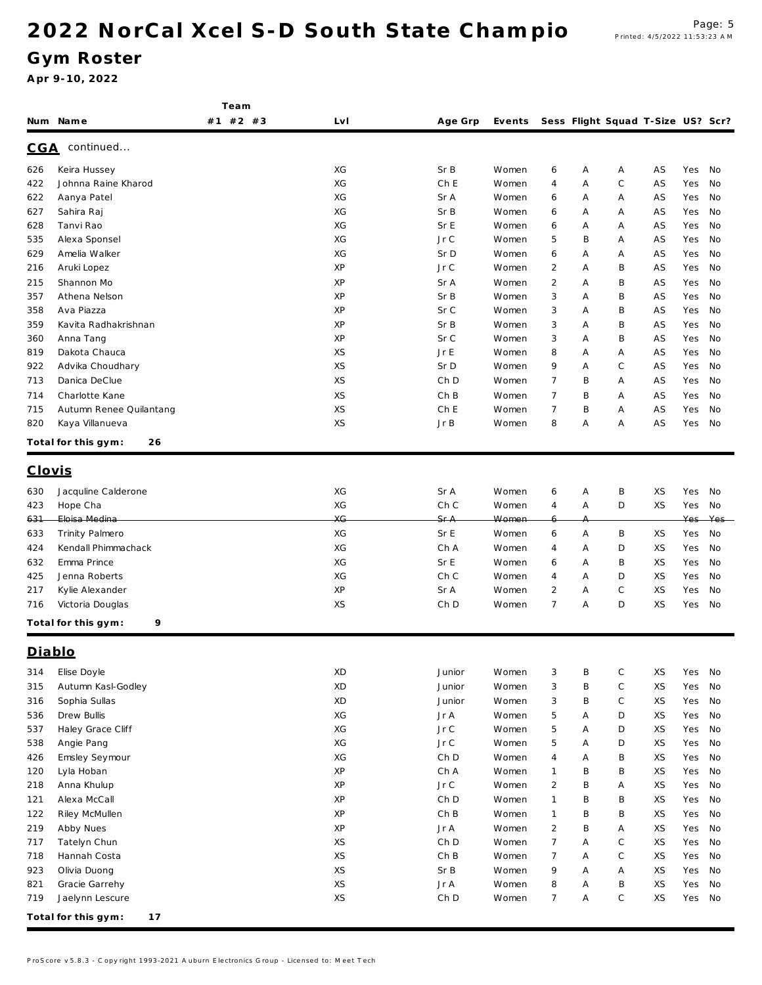Team

### Gym Roster

|               | Num Name                  | #1 #2 #3 | LvI | Age Grp | Events Sess Flight Squad T-Size US? Scr? |                |   |             |    |     |     |
|---------------|---------------------------|----------|-----|---------|------------------------------------------|----------------|---|-------------|----|-----|-----|
| <u>CGA</u>    | continued                 |          |     |         |                                          |                |   |             |    |     |     |
| 626           | Keira Hussey              |          | XG  | Sr B    | Women                                    | 6              | Α | Α           | AS | Yes | No  |
| 422           | Johnna Raine Kharod       |          | XG  | Ch E    | Women                                    | 4              | Α | C           | AS | Yes | No  |
| 622           | Aanya Patel               |          | XG  | Sr A    | Women                                    | 6              | Α | Α           | AS | Yes | No  |
| 627           | Sahira Raj                |          | XG  | Sr B    | Women                                    | 6              | Α | Α           | AS | Yes | No  |
| 628           | Tanvi Rao                 |          | XG  | Sr E    | Women                                    | 6              | Α | Α           | AS | Yes | No  |
| 535           | Alexa Sponsel             |          | XG  | Jr C    | Women                                    | 5              | B | Α           | AS | Yes | No  |
| 629           | Amelia Walker             |          | XG  | Sr D    | Women                                    | 6              | A | Α           | AS | Yes | No  |
| 216           | Aruki Lopez               |          | ΧP  | JrC     | Women                                    | 2              | Α | Β           | AS | Yes | No  |
| 215           | Shannon Mo                |          | ΧP  | Sr A    | Women                                    | $\overline{2}$ | Α | Β           | AS | Yes | No  |
| 357           | Athena Nelson             |          | ΧP  | Sr B    | Women                                    | 3              | A | Β           | AS | Yes | No  |
| 358           | Ava Piazza                |          | XP  | Sr C    | Women                                    | 3              | Α | Β           | AS | Yes | No  |
| 359           | Kavita Radhakrishnan      |          | ΧP  | Sr B    | Women                                    | 3              | Α | Β           | AS | Yes | No  |
| 360           | Anna Tang                 |          | XP  | Sr C    | Women                                    | 3              | Α | Β           | ΑS | Yes | No  |
| 819           | Dakota Chauca             |          | XS  | Jr E    | Women                                    | 8              | A | Α           | AS | Yes | No  |
| 922           | Advika Choudhary          |          | XS  | Sr D    | Women                                    | 9              | Α | C           | AS | Yes | No  |
| 713           | Danica DeClue             |          | XS  | Ch D    | Women                                    | $\overline{7}$ | B | Α           | AS | Yes | No  |
| 714           | Charlotte Kane            |          | XS  | Ch B    | Women                                    | $\overline{7}$ | B | Α           | AS | Yes | No  |
| 715           | Autumn Renee Quilantang   |          | XS  | Ch E    | Women                                    | $\overline{7}$ | B | Α           | AS | Yes | No  |
| 820           | Kaya Villanueva           |          | XS  | JrB     | Women                                    | 8              | Α | Α           | AS | Yes | No  |
|               | Total for this gym:<br>26 |          |     |         |                                          |                |   |             |    |     |     |
| <u>Clovis</u> |                           |          |     |         |                                          |                |   |             |    |     |     |
| 630           | Jacquline Calderone       |          | XG  | Sr A    | Women                                    | 6              | Α | B           | XS | Yes | No  |
| 423           | Hope Cha                  |          | XG  | Ch C    | Women                                    | 4              | Α | D           | XS | Yes | No  |
| 631           | Eloisa Medina             |          | XG  | Sr A    | Women                                    |                |   |             |    | Yes | Yes |
| 633           | Trinity Palmero           |          | XG  | Sr E    | Women                                    | 6              | A | Β           | XS | Yes | No  |
| 424           | Kendall Phimmachack       |          | XG  | Ch A    | Women                                    | 4              | Α | D           | XS | Yes | No  |
| 632           | Emma Prince               |          | XG  | Sr E    | Women                                    | 6              | Α | Β           | XS | Yes | No  |
| 425           | Jenna Roberts             |          | XG  | Ch C    | Women                                    | $\overline{4}$ | A | D           | XS | Yes | No  |
| 217           | Kylie Alexander           |          | XP  | Sr A    | Women                                    | $\overline{c}$ | Α | C           | XS | Yes | No  |
| 716           | Victoria Douglas          |          | XS  | Ch D    | Women                                    | $\overline{7}$ | Α | D           | XS | Yes | No  |
|               | 9<br>Total for this gym:  |          |     |         |                                          |                |   |             |    |     |     |
| Diablo        |                           |          |     |         |                                          |                |   |             |    |     |     |
|               |                           |          |     |         |                                          |                |   |             |    |     |     |
|               | 314 Elise Doyle           |          | XD  | Junior  | Women                                    | 3              | Β | С           | XS | Yes | No  |
| 315           | Autumn Kasl-Godley        |          | XD  | Junior  | Women                                    | 3              | B | $\mathbb C$ | XS | Yes | No  |
| 316           | Sophia Sullas             |          | XD  | Junior  | Women                                    | 3              | B | $\mathbb C$ | XS | Yes | No  |
| 536           | Drew Bullis               |          | XG  | Jr A    | Women                                    | $\mathbf 5$    | Α | D           | XS | Yes | No  |
| 537           | Haley Grace Cliff         |          | XG  | JrC     | Women                                    | 5              | Α | D           | XS | Yes | No  |
| 538           | Angie Pang                |          | XG  | Jr C    | Women                                    | 5              | Α | D           | XS | Yes | No  |
| 426           | Emsley Seymour            |          | XG  | Ch D    | Women                                    | 4              | Α | B           | XS | Yes | No  |
| 120           | Lyla Hoban                |          | XP  | Ch A    | Women                                    | $\mathbf{1}$   | B | Β           | XS | Yes | No  |
| 218           | Anna Khulup               |          | XP  | JrC     | Women                                    | $\overline{c}$ | B | Α           | XS | Yes | No  |
| 121           | Alexa McCall              |          | XP  | Ch D    | Women                                    | $\mathbf{1}$   | B | B           | XS | Yes | No  |
| 122           | Riley McMullen            |          | XP  | ChB     | Women                                    | $\mathbf{1}$   | B | B           | XS | Yes | No  |
| 219           | Abby Nues                 |          | XP  | Jr A    | Women                                    | $\overline{2}$ | B | Α           | XS | Yes | No  |
| 717           | Tatelyn Chun              |          | XS  | Ch D    | Women                                    | $\overline{7}$ | Α | $\mathsf C$ | XS | Yes | No  |
| 718           | Hannah Costa              |          | XS  | ChB     | Women                                    | $\overline{7}$ | Α | C           | XS | Yes | No  |
| 923           | Olivia Duong              |          | XS  | SrB     | Women                                    | 9              | Α | Α           | XS | Yes | No  |
| 821           | Gracie Garrehy            |          | XS  | Jr A    | Women                                    | 8              | Α | B           | XS | Yes | No  |
| 719           | Jaelynn Lescure           |          | XS  | Ch D    | Women                                    | $\overline{7}$ | Α | $\mathsf C$ | XS | Yes | No  |
|               | Total for this gym:<br>17 |          |     |         |                                          |                |   |             |    |     |     |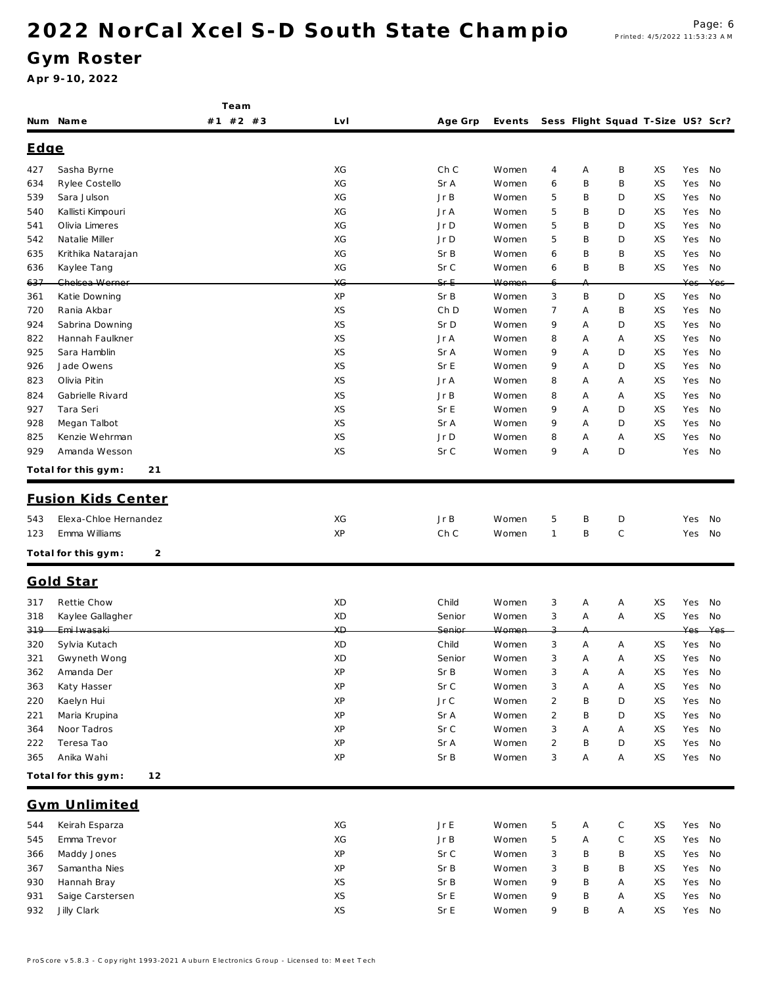Team

### Gym Roster

|      | Num Name                  | #1 #2 #3 | LvI | Age Grp  | Events |                |   | Sess Flight Squad T-Size US? Scr? |    |     |     |
|------|---------------------------|----------|-----|----------|--------|----------------|---|-----------------------------------|----|-----|-----|
| Edge |                           |          |     |          |        |                |   |                                   |    |     |     |
| 427  | Sasha Byrne               |          | ХG  | Ch C     | Women  | 4              | Α | B                                 | XS | Yes | No  |
| 634  | Rylee Costello            |          | ХG  | Sr A     | Women  | 6              | B | B                                 | XS | Yes | No  |
| 539  | Sara Julson               |          | ХG  | Jr B     | Women  | 5              | Β | D                                 | XS | Yes | No  |
| 540  | Kallisti Kimpouri         |          | ХG  | Jr A     | Women  | 5              | Β | D                                 | XS | Yes | No  |
| 541  | Olivia Limeres            |          | ХG  | Jr D     | Women  | 5              | Β | D                                 | XS | Yes | No  |
| 542  | Natalie Miller            |          | ХG  | Jr D     | Women  | 5              | B | D                                 | XS | Yes | No  |
| 635  | Krithika Natarajan        |          | ХG  | Sr B     | Women  | 6              | B | B                                 | XS | Yes | No  |
| 636  | Kaylee Tang               |          | XG  | Sr C     | Women  | 6              | B | B                                 | XS | Yes | No  |
| 637  | Chelsea Werner            |          | XG  | $Sf - E$ | Women  | 6              |   |                                   |    | Yes | Yes |
| 361  | Katie Downing             |          | XP  | Sr B     | Women  | 3              | Β | D                                 | XS | Yes | No  |
| 720  | Rania Akbar               |          | XS  | Ch D     | Women  | $\overline{7}$ | Α | B                                 | XS | Yes | No  |
| 924  | Sabrina Downing           |          | XS  | Sr D     | Women  | 9              | Α | D                                 | XS | Yes | No  |
| 822  | Hannah Faulkner           |          | XS  | Jr A     | Women  | 8              | Α | Α                                 | XS | Yes | No  |
| 925  | Sara Hamblin              |          | XS  | Sr A     | Women  | 9              | Α | D                                 | XS | Yes | No  |
| 926  | Jade Owens                |          | XS  | Sr E     | Women  | 9              | A | D                                 | XS | Yes | No  |
| 823  | Olivia Pitin              |          | XS  | Jr A     | Women  | 8              | Α | Α                                 | XS | Yes | No  |
| 824  | Gabrielle Rivard          |          | XS  | JrB      | Women  | 8              | Α | Α                                 | XS | Yes | No  |
| 927  | Tara Seri                 |          | XS  | Sr E     | Women  | 9              | A | D                                 | XS | Yes | No  |
| 928  | Megan Talbot              |          | XS  | Sr A     | Women  | 9              | Α | D                                 | XS | Yes | No  |
| 825  | Kenzie Wehrman            |          | XS  | Jr D     | Women  | 8              | Α | Α                                 | XS | Yes | No  |
| 929  | Amanda Wesson             |          | XS  | Sr C     | Women  | 9              | Α | D                                 |    | Yes | No  |
|      | Total for this gym:<br>21 |          |     |          |        |                |   |                                   |    |     |     |
|      | <b>Fusion Kids Center</b> |          |     |          |        |                |   |                                   |    |     |     |
|      |                           |          |     |          |        |                |   |                                   |    |     |     |
| 543  | Elexa-Chloe Hernandez     |          | ХG  | Jr B     | Women  | 5              | Β | D                                 |    | Yes | No  |
| 123  | Emma Williams             |          | XP  | Ch C     | Women  | $\mathbf{1}$   | B | $\mathsf C$                       |    | Yes | No  |
|      | Total for this gym:<br>2  |          |     |          |        |                |   |                                   |    |     |     |
|      | Gold Star                 |          |     |          |        |                |   |                                   |    |     |     |
| 317  | Rettie Chow               |          | XD  | Child    | Women  | 3              | Α | Α                                 | XS | Yes | No  |
| 318  | Kaylee Gallagher          |          | XD  | Senior   | Women  | 3              | Α | Α                                 | XS | Yes | No  |
| 319  | Emi Iwasaki               |          | ХĐ  | Senior   | Women  |                |   |                                   |    | Yes |     |
| 320  | Sylvia Kutach             |          | XD  | Child    | Women  | 3              | Α | Α                                 | XS | Yes | No  |
| 321  | Gwyneth Wong              |          | XD  | Senior   | Women  | 3              | Α | Α                                 | XS | Yes | No  |
| 362  | Amanda Der                |          | ХP  | Sr B     | Women  | 3              | Α | Α                                 | XS | Yes | No  |
| 363  | Katy Hasser               |          | XP  | Sr C     | Women  | 3              | Α | Α                                 | XS | Yes | No  |
| 220  | Kaelyn Hui                |          | XP  | Jr C     | Women  | $\sqrt{2}$     | B | D                                 | XS | Yes | No  |
| 221  | Maria Krupina             |          | XP  | Sr A     | Women  | $\overline{2}$ | B | D                                 | XS | Yes | No  |
| 364  | Noor Tadros               |          | XP  | Sr C     | Women  | 3              | Α | Α                                 | ХS | Yes | No  |
| 222  | Teresa Tao                |          | XP  | Sr A     | Women  | $\overline{2}$ | B | D                                 | XS | Yes | No  |
| 365  | Anika Wahi                |          | XP  | Sr B     | Women  | 3              | Α | Α                                 | XS | Yes | No  |
|      | Total for this gym:<br>12 |          |     |          |        |                |   |                                   |    |     |     |
|      |                           |          |     |          |        |                |   |                                   |    |     |     |
|      | Gym Unlimited             |          |     |          |        |                |   |                                   |    |     |     |
| 544  | Keirah Esparza            |          | ХG  | Jr E     | Women  | 5              | Α | С                                 | XS | Yes | No  |
| 545  | Emma Trevor               |          | XG  | Jr B     | Women  | 5              | Α | $\mathsf C$                       | XS | Yes | No  |
| 366  | Maddy Jones               |          | XP  | Sr C     | Women  | 3              | Β | B                                 | XS | Yes | No  |
| 367  | Samantha Nies             |          | XP  | Sr B     | Women  | 3              | B | B                                 | XS | Yes | No  |
| 930  | Hannah Bray               |          | XS  | Sr B     | Women  | 9              | Β | Α                                 | XS | Yes | No  |
| 931  | Saige Carstersen          |          | XS  | Sr E     | Women  | 9              | Β | Α                                 | XS | Yes | No  |
| 932  | Jilly Clark               |          | XS  | Sr E     | Women  | 9              | B | Α                                 | XS | Yes | No  |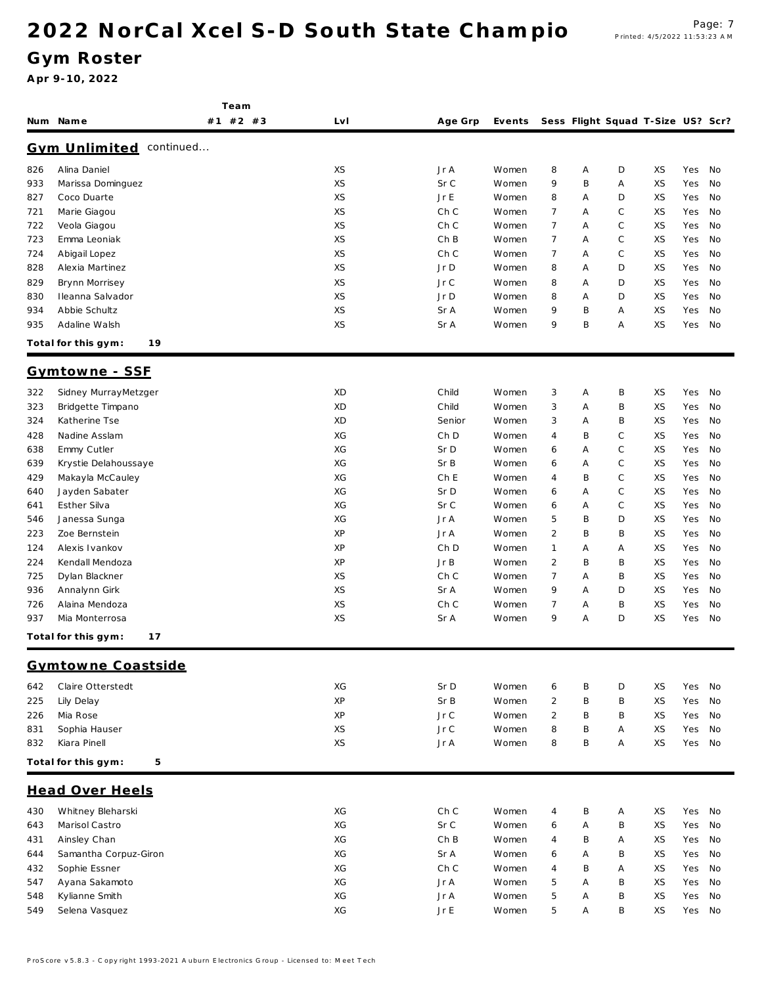Team

#### Gym Roster

|     | Num Name                          | #1 #2 #3 | Lv I | Age Grp | Events |                |   | Sess Flight Squad T-Size US? Scr? |    |     |    |
|-----|-----------------------------------|----------|------|---------|--------|----------------|---|-----------------------------------|----|-----|----|
|     | <b>Gym Unlimited</b><br>continued |          |      |         |        |                |   |                                   |    |     |    |
| 826 | Alina Daniel                      |          | XS   | Jr A    | Women  | 8              | Α | D                                 | XS | Yes | No |
| 933 | Marissa Dominguez                 |          | XS   | Sr C    | Women  | 9              | B | Α                                 | XS | Yes | No |
| 827 | Coco Duarte                       |          | XS   | Jr E    | Women  | 8              | Α | D                                 | XS | Yes | No |
| 721 | Marie Giagou                      |          | XS   | Ch C    | Women  | 7              | Α | С                                 | XS | Yes | No |
| 722 | Veola Giagou                      |          | XS   | Ch C    | Women  | $\overline{7}$ | A | С                                 | XS | Yes | No |
| 723 | Emma Leoniak                      |          | XS   | Ch B    | Women  | $\overline{7}$ | A | $\mathbb C$                       | XS | Yes | No |
| 724 | Abigail Lopez                     |          | XS   | Ch C    | Women  | $\overline{7}$ | Α | C                                 | XS | Yes | No |
| 828 | Alexia Martinez                   |          | XS   | Jr D    | Women  | 8              | Α | D                                 | XS | Yes | No |
| 829 | Brynn Morrisey                    |          | XS   | Jr C    | Women  | 8              | A | D                                 | XS | Yes | No |
| 830 | Ileanna Salvador                  |          | XS   | Jr D    | Women  | 8              | Α | D                                 | XS | Yes | No |
| 934 | Abbie Schultz                     |          | XS   | Sr A    | Women  | 9              | B | Α                                 | XS | Yes | No |
| 935 | Adaline Walsh                     |          | XS   | Sr A    | Women  | 9              | B | Α                                 | XS | Yes | No |
|     | 19<br>Total for this gym:         |          |      |         |        |                |   |                                   |    |     |    |
|     | Gymtowne - SSF                    |          |      |         |        |                |   |                                   |    |     |    |
| 322 | Sidney MurrayMetzger              |          | XD   | Child   | Women  | 3              | Α | B                                 | XS | Yes | No |
| 323 | Bridgette Timpano                 |          | XD   | Child   | Women  | 3              | Α | Β                                 | XS | Yes | No |
| 324 | Katherine Tse                     |          | XD   | Senior  | Women  | 3              | A | B                                 | XS | Yes | No |
| 428 | Nadine Asslam                     |          | ХG   | Ch D    | Women  | 4              | B | C                                 | XS | Yes | No |
| 638 | Emmy Cutler                       |          | XG   | Sr D    | Women  | 6              | A | С                                 | XS | Yes | No |
| 639 | Krystie Delahoussaye              |          | XG   | Sr B    | Women  | 6              | A | $\mathbb C$                       | XS | Yes | No |
| 429 | Makayla McCauley                  |          | ХG   | Ch E    | Women  | 4              | Β | C                                 | XS | Yes | No |
| 640 | Jayden Sabater                    |          | ХG   | Sr D    | Women  | 6              | Α | С                                 | XS | Yes | No |
| 641 | Esther Silva                      |          | ХG   | Sr C    | Women  | 6              | Α | С                                 | XS | Yes | No |
| 546 | Janessa Sunga                     |          | ХG   | Jr A    | Women  | 5              | Β | D                                 | XS | Yes | No |
| 223 | Zoe Bernstein                     |          | XP   | Jr A    | Women  | $\overline{2}$ | Β | B                                 | XS | Yes | No |
| 124 | Alexis Ivankov                    |          | XP   | Ch D    | Women  | 1              | Α | Α                                 | XS | Yes | No |
| 224 | Kendall Mendoza                   |          | XP   | JrB     | Women  | $\overline{2}$ | B | B                                 | XS | Yes | No |
| 725 | Dylan Blackner                    |          | XS   | Ch C    | Women  | $\overline{7}$ | Α | Β                                 | XS | Yes | No |
| 936 | Annalynn Girk                     |          | XS   | Sr A    | Women  | 9              | A | D                                 | XS | Yes | No |
| 726 | Alaina Mendoza                    |          | XS   | Ch C    | Women  | 7              | Α | B                                 | XS | Yes | No |
| 937 | Mia Monterrosa                    |          | XS   | Sr A    | Women  | 9              | Α | D                                 | XS | Yes | No |
|     | Total for this gym:<br>17         |          |      |         |        |                |   |                                   |    |     |    |
|     | Gymtowne Coastside                |          |      |         |        |                |   |                                   |    |     |    |
| 642 | Claire Otterstedt                 |          | ХG   | Sr D    | Women  | 6              | Β | D                                 | XS | Yes | No |
| 225 | Lily Delay                        |          | XP   | Sr B    | Women  | $\overline{2}$ | Β | B                                 | XS | Yes | No |
| 226 | Mia Rose                          |          | XP   | Jr C    | Women  | $\overline{2}$ | B | B                                 | XS | Yes | No |
| 831 | Sophia Hauser                     |          | XS   | Jr C    | Women  | 8              | Β | Α                                 | XS | Yes | No |
| 832 | Kiara Pinell                      |          | XS   | Jr A    | Women  | 8              | B | A                                 | XS | Yes | No |
|     | Total for this gym:<br>5          |          |      |         |        |                |   |                                   |    |     |    |
|     | <b>Head Over Heels</b>            |          |      |         |        |                |   |                                   |    |     |    |
| 430 | Whitney Bleharski                 |          | ХG   | Ch C    | Women  | 4              | Β | Α                                 | XS | Yes | No |
| 643 | Marisol Castro                    |          | XG   | Sr C    | Women  | 6              | Α | B                                 | XS | Yes | No |
| 431 | Ainsley Chan                      |          | ХG   | Ch B    | Women  | 4              | Β | Α                                 | XS | Yes | No |
| 644 | Samantha Corpuz-Giron             |          | ХG   | Sr A    | Women  | 6              | A | B                                 | XS | Yes | No |
| 432 | Sophie Essner                     |          | XG   | Ch C    | Women  | 4              | B | Α                                 | XS | Yes | No |
| 547 | Ayana Sakamoto                    |          | XG   | Jr A    | Women  | 5              | A | B                                 | XS | Yes | No |
| 548 | Kylianne Smith                    |          | XG   | Jr A    | Women  | 5              | A | B                                 | XS | Yes | No |
| 549 | Selena Vasquez                    |          | ХG   | Jr E    | Women  | 5              | Α | Β                                 | XS | Yes | No |
|     |                                   |          |      |         |        |                |   |                                   |    |     |    |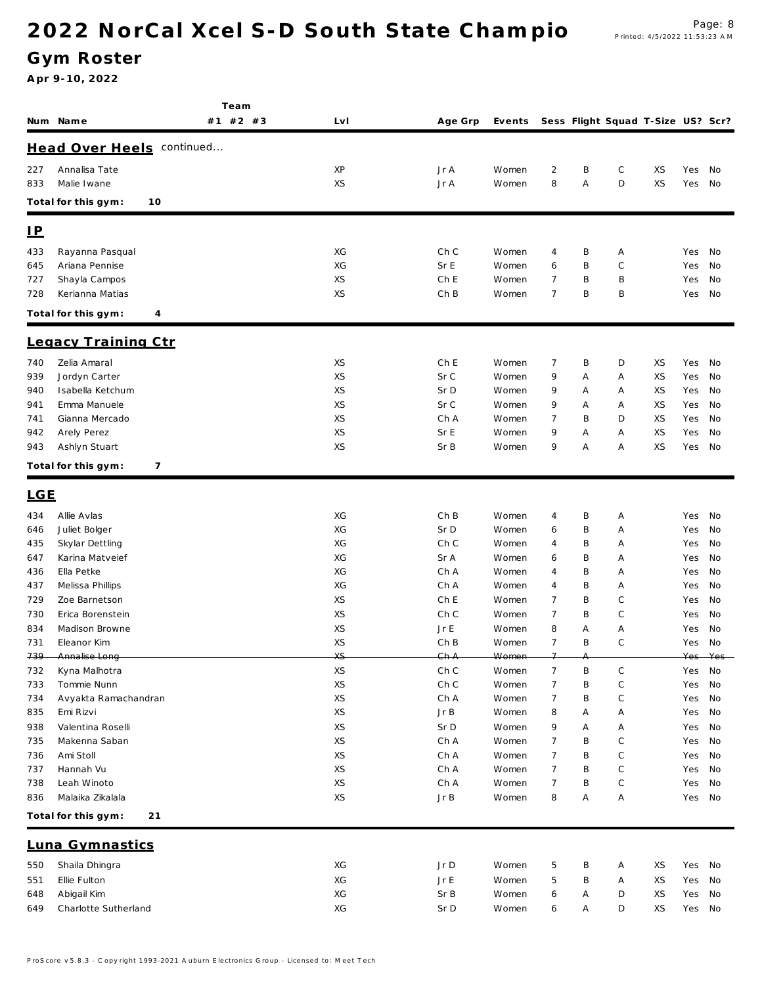### Gym Roster

|            |                                   | Team     |          |              |                |                |        |                                   |    |            |            |
|------------|-----------------------------------|----------|----------|--------------|----------------|----------------|--------|-----------------------------------|----|------------|------------|
|            | Num Name                          | #1 #2 #3 | Lv I     | Age Grp      | Events         |                |        | Sess Flight Squad T-Size US? Scr? |    |            |            |
|            | Head Over Heels continued         |          |          |              |                |                |        |                                   |    |            |            |
| 227        | Annalisa Tate                     |          | XP       | Jr A         | Women          | 2              | B      | С                                 | XS | Yes        | No         |
| 833        | Malie Iwane                       |          | XS       | Jr A         | Women          | 8              | Α      | D                                 | XS | Yes        | No         |
|            | Total for this gym:<br>10         |          |          |              |                |                |        |                                   |    |            |            |
|            |                                   |          |          |              |                |                |        |                                   |    |            |            |
| <u>IP</u>  |                                   |          |          |              |                |                |        |                                   |    |            |            |
| 433        | Rayanna Pasqual                   |          | XG       | Ch C         | Women          | 4              | Β      | Α                                 |    | Yes        | No         |
| 645        | Ariana Pennise                    |          | XG       | Sr E         | Women          | 6              | B      | C                                 |    | Yes        | No         |
| 727        | Shayla Campos                     |          | XS       | Ch E         | Women          | 7              | B      | B                                 |    | Yes        | No         |
| 728        | Kerianna Matias                   |          | XS       | ChB          | Women          | 7              | B      | B                                 |    | Yes        | No         |
|            | Total for this gym:<br>4          |          |          |              |                |                |        |                                   |    |            |            |
|            | Legacy Training Ctr               |          |          |              |                |                |        |                                   |    |            |            |
| 740        | Zelia Amaral                      |          | XS       | Ch E         | Women          | 7              | B      | D                                 | XS | Yes        | No         |
| 939        | Jordyn Carter                     |          | XS       | Sr C         | Women          | 9              | Α      | Α                                 | XS | Yes        | No         |
| 940        | Isabella Ketchum                  |          | XS       | Sr D         | Women          | 9              | Α      | Α                                 | XS | Yes        | No         |
| 941        | Emma Manuele                      |          | XS       | Sr C         | Women          | 9              | Α      | Α                                 | XS | Yes        | No         |
| 741        | Gianna Mercado                    |          | XS       | Ch A         | Women          | $\overline{7}$ | B      | D                                 | XS | Yes        | No         |
| 942        | Arely Perez                       |          | XS       | Sr E         | Women          | 9              | Α      | Α                                 | XS | Yes        | No         |
| 943        | Ashlyn Stuart                     |          | XS       | Sr B         | Women          | 9              | Α      | Α                                 | XS | Yes        | No         |
|            | Total for this gym:<br>7          |          |          |              |                |                |        |                                   |    |            |            |
| <b>LGE</b> |                                   |          |          |              |                |                |        |                                   |    |            |            |
| 434        | Allie Avlas                       |          | XG       | ChB          | Women          | 4              | B      | Α                                 |    | Yes        | No         |
| 646        | Juliet Bolger                     |          | XG       | Sr D         | Women          | 6              | B      | Α                                 |    | Yes        | No         |
| 435        | Skylar Dettling                   |          | XG       | Ch C         | Women          | 4              | B      | Α                                 |    | Yes        | No         |
| 647        | Karina Matveief                   |          | XG       | Sr A         | Women          | 6              | B      | Α                                 |    | Yes        | No         |
| 436        | Ella Petke                        |          | XG       | Ch A         | Women          | 4              | B      | Α                                 |    | Yes        | No         |
| 437<br>729 | Melissa Phillips<br>Zoe Barnetson |          | XG<br>XS | Ch A<br>Ch E | Women<br>Women | 4<br>7         | B<br>B | Α<br>C                            |    | Yes        | No<br>No   |
| 730        | Erica Borenstein                  |          | XS       | Ch C         | Women          | $\overline{7}$ | B      | C                                 |    | Yes<br>Yes | No         |
| 834        | Madison Browne                    |          | XS       | Jr E         | Women          | 8              | Α      | Α                                 |    | Yes        | No         |
| 731        | Eleanor Kim                       |          | XS       | Ch B         | Women          | $\overline{7}$ | B      | $\mathsf{C}$                      |    | Yes        | No         |
| 739        | Annalise Long                     |          | XS       | GhA          | Women          | $\overline{ }$ |        |                                   |    | Yes-       | $V \cap c$ |
| 732        | Kyna Malhotra                     |          | XS       | Ch C         | Women          | $\overline{7}$ | Β      | С                                 |    | Yes        | No         |
| 733        | Tommie Nunn                       |          | XS       | Ch C         | Women          | 7              | B      | C                                 |    | Yes        | No         |
| 734        | Avyakta Ramachandran              |          | XS       | Ch A         | Women          | 7              | B      | С                                 |    | Yes        | No         |
| 835        | Emi Rizvi                         |          | XS       | Jr B         | Women          | 8              | Α      | Α                                 |    | Yes        | No         |
| 938        | Valentina Roselli                 |          | XS       | Sr D         | Women          | 9              | Α      | Α                                 |    | Yes        | No         |
| 735        | Makenna Saban                     |          | XS       | Ch A         | Women          | 7              | Β      | C                                 |    | Yes        | No         |
| 736        | Ami Stoll                         |          | XS       | Ch A         | Women          | $\overline{7}$ | B      | C                                 |    | Yes        | No         |
| 737        | Hannah Vu                         |          | XS       | Ch A         | Women          | $\overline{7}$ | Β      | С                                 |    | Yes        | No         |
| 738        | Leah Winoto                       |          | XS       | Ch A         | Women          | 7              | B      | C                                 |    | Yes        | No         |
| 836        | Malaika Zikalala                  |          | XS       | JrB          | Women          | 8              | Α      | Α                                 |    | Yes        | No         |
|            | Total for this gym:<br>21         |          |          |              |                |                |        |                                   |    |            |            |
|            | Luna Gymnastics                   |          |          |              |                |                |        |                                   |    |            |            |
| 550        | Shaila Dhingra                    |          | XG       | Jr D         | Women          | 5              | Β      | Α                                 | XS | Yes        | No         |
| 551        | Ellie Fulton                      |          | XG       | JrE          | Women          | 5              | Β      | Α                                 | XS | Yes        | No         |
| 648        | Abigail Kim                       |          | XG       | Sr B         | Women          | 6              | Α      | D                                 | XS | Yes        | No         |
| 649        | Charlotte Sutherland              |          | XG       | Sr D         | Women          | 6              | Α      | D                                 | XS | Yes No     |            |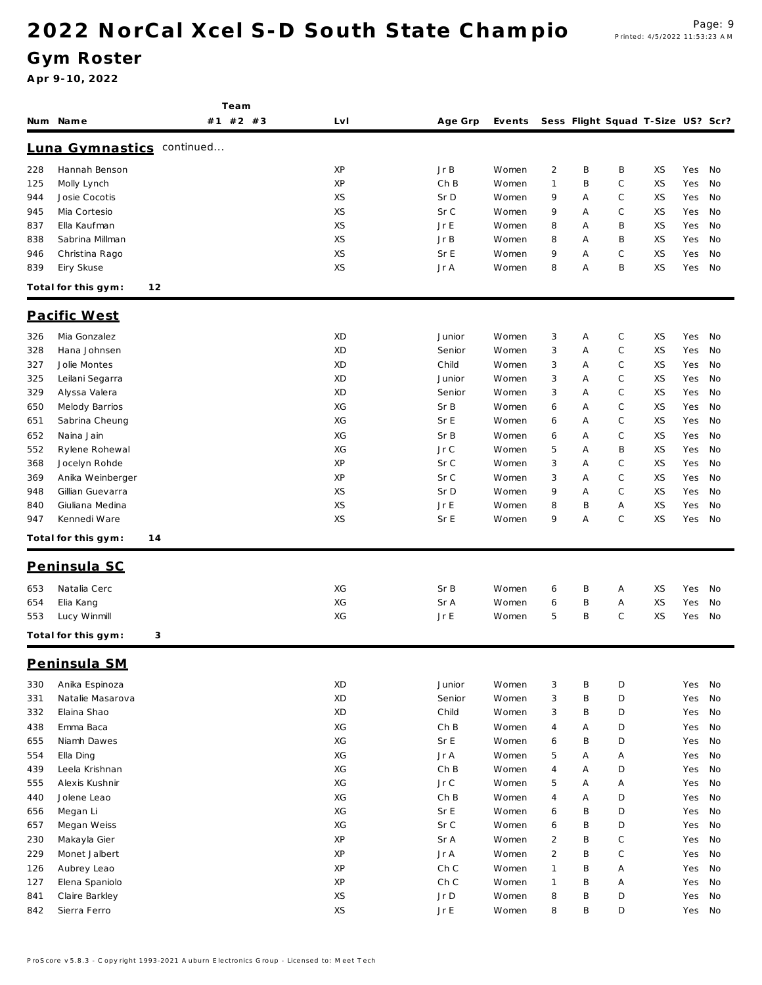Team

### Gym Roster

|     | Num Name                  | #1 #2 #3  | LvI | Age Grp | Events |                |        | Sess Flight Squad T-Size US? Scr? |    |        |    |
|-----|---------------------------|-----------|-----|---------|--------|----------------|--------|-----------------------------------|----|--------|----|
|     | Luna Gymnastics           | continued |     |         |        |                |        |                                   |    |        |    |
| 228 | Hannah Benson             |           | XP  | Jr B    | Women  | $\overline{2}$ | B      | B                                 | XS | Yes    | No |
| 125 | Molly Lynch               |           | XP  | Ch B    | Women  | 1              | B      | C                                 | XS | Yes    | No |
| 944 | Josie Cocotis             |           | XS  | Sr D    | Women  | 9              | Α      | С                                 | XS | Yes    | No |
| 945 | Mia Cortesio              |           | XS  | Sr C    | Women  | 9              | Α      | C                                 | XS | Yes    | No |
| 837 | Ella Kaufman              |           | XS  | Jr E    | Women  | 8              | Α      | B                                 | XS | Yes    | No |
| 838 | Sabrina Millman           |           | XS  | JrB     | Women  | 8              | Α      | Β                                 | XS | Yes    | No |
| 946 | Christina Rago            |           | XS  | Sr E    | Women  | 9              | A      | С                                 | XS | Yes    | No |
| 839 | Eiry Skuse                |           | XS  | Jr A    | Women  | 8              | A      | B                                 | XS | Yes    | No |
|     | Total for this gym:<br>12 |           |     |         |        |                |        |                                   |    |        |    |
|     | Pacific West              |           |     |         |        |                |        |                                   |    |        |    |
| 326 | Mia Gonzalez              |           | XD  | Junior  | Women  | 3              | Α      | C                                 | XS | Yes    | No |
| 328 | Hana Johnsen              |           | XD  | Senior  | Women  | 3              | Α      | С                                 | XS | Yes    | No |
| 327 | Jolie Montes              |           | XD  | Child   | Women  | 3              | Α      | C                                 | XS | Yes    | No |
| 325 | Leilani Segarra           |           | XD  | Junior  | Women  | 3              | Α      | $\mathbb C$                       | XS | Yes    | No |
| 329 | Alyssa Valera             |           | XD  | Senior  | Women  | 3              | Α      | C                                 | XS | Yes    | No |
| 650 | Melody Barrios            |           | XG  | Sr B    | Women  | 6              | Α      | C                                 | XS | Yes    | No |
| 651 | Sabrina Cheung            |           | XG  | Sr E    | Women  | 6              | Α      | C                                 | XS | Yes    | No |
| 652 | Naina Jain                |           | XG  | Sr B    | Women  | 6              | Α      | C                                 | XS | Yes    | No |
| 552 | Rylene Rohewal            |           | XG  | Jr C    | Women  | 5              | Α      | B                                 | XS | Yes    | No |
| 368 | Jocelyn Rohde             |           | XP  | Sr C    | Women  | 3              | Α      | C                                 | XS | Yes    | No |
| 369 | Anika Weinberger          |           | XP  | Sr C    | Women  | 3              | A      | C                                 | XS | Yes    | No |
| 948 | Gillian Guevarra          |           | XS  | Sr D    | Women  | 9              | Α      | С                                 | XS | Yes    | No |
| 840 | Giuliana Medina           |           | XS  | Jr E    | Women  | 8              | B      | Α                                 | XS | Yes    | No |
| 947 | Kennedi Ware              |           | XS  | Sr E    | Women  | 9              | Α      | C                                 | XS | Yes    | No |
|     | Total for this gym:<br>14 |           |     |         |        |                |        |                                   |    |        |    |
|     | Peninsula SC              |           |     |         |        |                |        |                                   |    |        |    |
| 653 | Natalia Cerc              |           | XG  | Sr B    | Women  | 6              | B      | Α                                 | XS | Yes    | No |
| 654 | Elia Kang                 |           | XG  | Sr A    | Women  | 6              | B      | Α                                 | XS | Yes    | No |
| 553 | Lucy Winmill              |           | XG  | Jr E    | Women  | 5              | B      | C                                 | XS | Yes    | No |
|     | Total for this gym:<br>3  |           |     |         |        |                |        |                                   |    |        |    |
|     | Peninsula SM              |           |     |         |        |                |        |                                   |    |        |    |
|     |                           |           |     |         |        |                |        |                                   |    |        |    |
| 330 | Anika Espinoza            |           | XD  | Junior  | Women  | 3              | B      | D                                 |    | Yes    | No |
| 331 | Natalie Masarova          |           | XD  | Senior  | Women  | $\sqrt{3}$     | B      | D                                 |    | Yes    | No |
| 332 | Elaina Shao               |           | XD  | Child   | Women  | 3              | B      | D                                 |    | Yes    | No |
| 438 | Emma Baca                 |           | XG  | ChB     | Women  | 4              | Α      | D                                 |    | Yes    | No |
| 655 | Niamh Dawes               |           | ХG  | Sr E    | Women  | 6              | B      | D                                 |    | Yes    | No |
| 554 | Ella Ding                 |           | XG  | Jr A    | Women  | 5              | Α      | Α                                 |    | Yes    | No |
| 439 | Leela Krishnan            |           | ХG  | Ch B    | Women  | 4              | Α      | D                                 |    | Yes    | No |
| 555 | Alexis Kushnir            |           | XG  | Jr C    | Women  | 5              | Α      | Α                                 |    | Yes    | No |
| 440 | Jolene Leao               |           | XG  | ChB     | Women  | $\overline{4}$ | Α      | D                                 |    | Yes    | No |
| 656 | Megan Li                  |           | XG  | Sr E    | Women  | 6              | B      | D                                 |    | Yes    | No |
| 657 | Megan Weiss               |           | ХG  | Sr C    | Women  | 6              | B      | D                                 |    | Yes    | No |
| 230 | Makayla Gier              |           | XP  | Sr A    | Women  | $\overline{2}$ | B      | С                                 |    | Yes    | No |
| 229 | Monet Jalbert             |           | XP  | Jr A    | Women  | $\overline{2}$ | B      | C                                 |    | Yes    | No |
| 126 | Aubrey Leao               |           | XP  | Ch C    | Women  | 1              | B      | Α                                 |    | Yes    | No |
| 127 | Elena Spaniolo            |           | XP  | Ch C    | Women  | 1              | B      | Α                                 |    | Yes    | No |
| 841 | Claire Barkley            |           | XS  | Jr D    | Women  | 8<br>8         | B<br>B | D<br>D                            |    | Yes    | No |
| 842 | Sierra Ferro              |           | XS  | Jr $E$  | Women  |                |        |                                   |    | Yes No |    |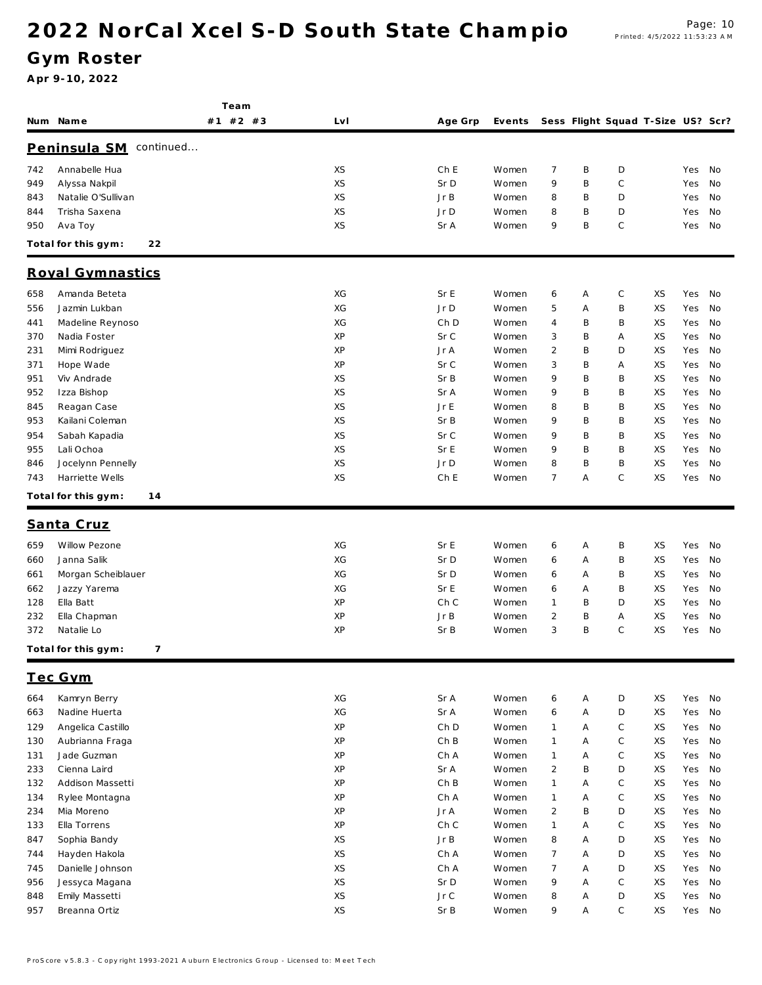Team

Gym Roster

|            | Num Name                         | $#2$ #3<br>#1 | LvI      | Age Grp     | Events         |                              |        | Sess Flight Squad T-Size US? Scr? |          |            |          |
|------------|----------------------------------|---------------|----------|-------------|----------------|------------------------------|--------|-----------------------------------|----------|------------|----------|
|            | Peninsula SM continued           |               |          |             |                |                              |        |                                   |          |            |          |
| 742        | Annabelle Hua                    |               | XS       | Ch E        | Women          | 7                            | B      | D                                 |          | Yes        | No       |
| 949        | Alyssa Nakpil                    |               | XS       | Sr D        | Women          | 9                            | B      | С                                 |          | Yes        | No       |
| 843        | Natalie O'Sullivan               |               | XS       | JrB         | Women          | 8                            | B      | D                                 |          | Yes        | No       |
| 844        | Trisha Saxena                    |               | XS       | Jr D        | Women          | 8                            | B      | D                                 |          | Yes        | No       |
| 950        | Ava Toy                          |               | XS       | Sr A        | Women          | 9                            | B      | $\mathbb C$                       |          | Yes        | No       |
|            | Total for this gym:<br>22        |               |          |             |                |                              |        |                                   |          |            |          |
|            | Royal Gymnastics                 |               |          |             |                |                              |        |                                   |          |            |          |
| 658        | Amanda Beteta                    |               | XG       | Sr E        | Women          | 6                            | Α      | $\mathsf C$                       | XS       | Yes        | No       |
| 556        | Jazmin Lukban                    |               | XG       | Jr D        | Women          | 5                            | Α      | B                                 | XS       | Yes        | No       |
| 441        | Madeline Reynoso                 |               | XG       | Ch D        | Women          | 4                            | B      | B                                 | XS       | Yes        | No       |
| 370        | Nadia Foster                     |               | XP       | Sr C        | Women          | 3                            | B      | Α                                 | XS       | Yes        | No       |
| 231        | Mimi Rodriguez                   |               | XP       | Jr A        | Women          | $\overline{c}$               | B      | D                                 | XS       | Yes        | No       |
| 371        | Hope Wade                        |               | XP       | Sr C        | Women          | 3                            | B      | Α                                 | XS       | Yes        | No       |
| 951        | Viv Andrade                      |               | XS       | Sr B        | Women          | 9                            | B      | B                                 | XS       | Yes        | No       |
| 952        | Izza Bishop                      |               | XS       | Sr A        | Women          | 9                            | B      | Β                                 | XS       | Yes        | No       |
| 845        | Reagan Case                      |               | XS       | Jr E        | Women          | 8                            | B      | B                                 | XS       | Yes        | No       |
| 953        | Kailani Coleman                  |               | XS       | Sr B        | Women          | 9                            | B      | B                                 | XS       | Yes        | No       |
| 954        | Sabah Kapadia                    |               | XS       | Sr C        | Women          | 9                            | B      | B                                 | XS       | Yes        | No       |
| 955        | Lali Ochoa                       |               | XS       | Sr E        | Women          | 9                            | B      | B                                 | XS       | Yes        | No       |
| 846        | Jocelynn Pennelly                |               | XS       | Jr D        | Women          | 8                            | B      | B                                 | XS       | Yes        | No       |
| 743        | Harriette Wells                  |               | XS       | Ch E        | Women          | $\overline{7}$               | Α      | $\mathsf{C}$                      | XS       | Yes        | No       |
|            | Total for this gym:<br>14        |               |          |             |                |                              |        |                                   |          |            |          |
|            | Santa Cruz                       |               |          |             |                |                              |        |                                   |          |            |          |
|            |                                  |               |          |             |                |                              |        |                                   |          |            |          |
| 659        | Willow Pezone                    |               | XG       | Sr E        | Women          | 6                            | Α      | B                                 | XS       | Yes        | No       |
| 660        | Janna Salik                      |               | XG       | Sr D        | Women          | 6                            | Α      | Β                                 | XS       | Yes        | No       |
| 661        | Morgan Scheiblauer               |               | XG       | Sr D        | Women          | 6                            | Α      | B                                 | XS       | Yes        | No       |
| 662        | Jazzy Yarema<br>Ella Batt        |               | XG<br>XP | Sr E        | Women          | 6                            | Α<br>B | B                                 | XS       | Yes        | No       |
| 128        |                                  |               |          | Ch C        | Women          | 1                            |        | D                                 | XS       | Yes        | No       |
| 232        | Ella Chapman<br>Natalie Lo       |               | XP<br>XP | Jr B        | Women          | 2<br>3                       | B<br>B | Α<br>$\mathsf{C}$                 | XS<br>XS | Yes<br>Yes | No<br>No |
| 372        | 7<br>Total for this gym:         |               |          | Sr B        | Women          |                              |        |                                   |          |            |          |
|            |                                  |               |          |             |                |                              |        |                                   |          |            |          |
| 664        | <u>Tec Gym</u><br>Kamryn Berry   |               | XG       | Sr A        | Women          |                              | Α      | D                                 | XS       | Yes        | No       |
| 663        | Nadine Huerta                    |               | XG       | Sr A        | Women          | 6<br>6                       | Α      | D                                 | XS       | Yes        | No       |
|            |                                  |               |          |             |                |                              |        |                                   |          |            |          |
| 129        | Angelica Castillo                |               | XP<br>XP | Ch D<br>ChB | Women          | $\mathbf{1}$                 | A      | $\mathsf C$<br>$\mathsf C$        | XS       | Yes<br>Yes | No<br>No |
| 130        | Aubrianna Fraga                  |               | XP       | Ch A        | Women          | $\mathbf{1}$<br>$\mathbf{1}$ | Α<br>A | C                                 | XS       |            |          |
| 131        | Jade Guzman                      |               | XP       | Sr A        | Women          | $\overline{2}$               | B      | D                                 | XS<br>XS | Yes        | No       |
| 233<br>132 | Cienna Laird<br>Addison Massetti |               | XP       | ChB         | Women<br>Women | $\mathbf{1}$                 | Α      | C                                 | XS       | Yes<br>Yes | No<br>No |
| 134        | Rylee Montagna                   |               | XP       | Ch A        | Women          | $\mathbf{1}$                 | Α      | C                                 | XS       | Yes        | No       |
| 234        | Mia Moreno                       |               | XP       | Jr A        | Women          | $\overline{2}$               | B      | D                                 | XS       | Yes        | No       |
|            | Ella Torrens                     |               | XP       | Ch C        |                | $\mathbf{1}$                 | Α      | C                                 | XS       | Yes        | No       |
| 133        |                                  |               | XS       |             | Women          |                              | A      |                                   |          |            |          |
| 847        | Sophia Bandy                     |               |          | JrB         | Women          | 8                            |        | D                                 | XS       | Yes        | No       |
| 744        | Hayden Hakola                    |               | XS       | Ch A        | Women          | $\overline{7}$               | A      | D                                 | XS       | Yes        | No       |
| 745        | Danielle Johnson                 |               | XS       | Ch A        | Women          | $\overline{7}$               | Α      | D                                 | XS       | Yes        | No       |
| 956        | Jessyca Magana                   |               | XS       | Sr D        | Women          | 9                            | Α      | C                                 | XS       | Yes        | No       |
| 848        | Emily Massetti                   |               | XS       | Jr C        | Women          | 8                            | Α      | D                                 | XS       | Yes        | No       |
| 957        | Breanna Ortiz                    |               | XS       | Sr B        | Women          | 9                            | Α      | $\mathsf{C}$                      | XS       | Yes        | No       |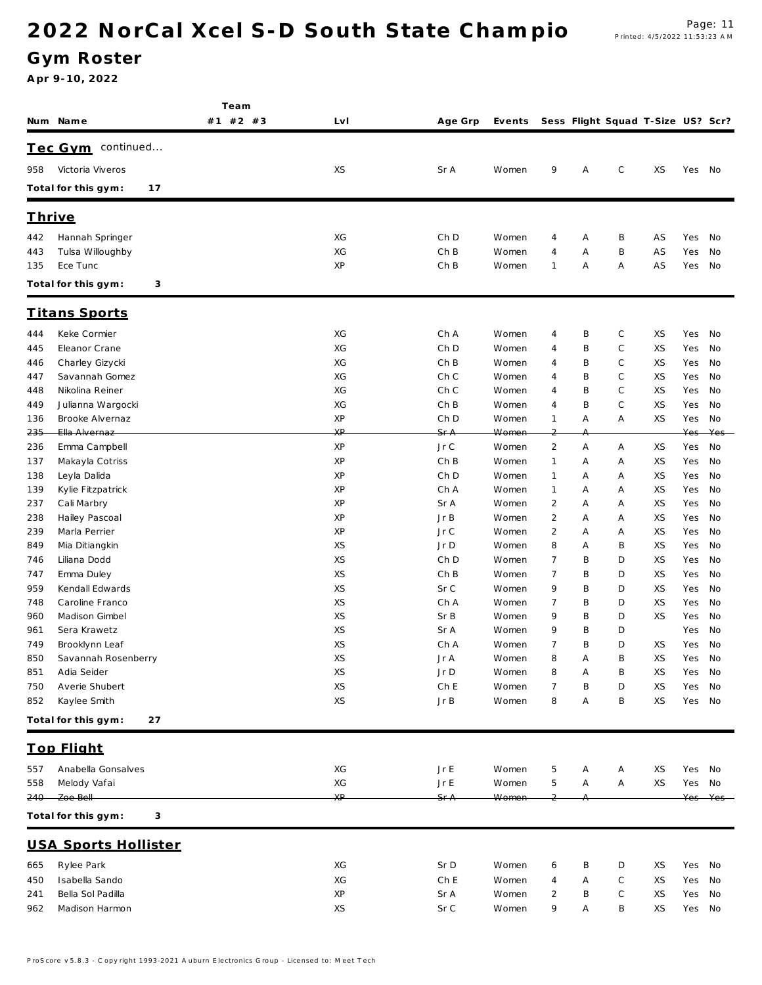Gym Roster

|     |                             | Team     |     |                 |        |                |   |             |                                   |        |     |
|-----|-----------------------------|----------|-----|-----------------|--------|----------------|---|-------------|-----------------------------------|--------|-----|
|     | Num Name                    | #1 #2 #3 | LvI | Age Grp         | Events |                |   |             | Sess Flight Squad T-Size US? Scr? |        |     |
|     | Tec Gym continued           |          |     |                 |        |                |   |             |                                   |        |     |
| 958 | Victoria Viveros            |          | XS  | Sr A            | Women  | 9              | Α | $\mathsf C$ | XS                                | Yes No |     |
|     |                             |          |     |                 |        |                |   |             |                                   |        |     |
|     | Total for this gym:<br>17   |          |     |                 |        |                |   |             |                                   |        |     |
|     | <u>Thrive</u>               |          |     |                 |        |                |   |             |                                   |        |     |
| 442 | Hannah Springer             |          | XG  | Ch D            | Women  | 4              | Α | B           | AS                                | Yes    | No  |
| 443 | Tulsa Willoughby            |          | XG  | ChB             | Women  | 4              | Α | B           | AS                                | Yes    | No  |
| 135 | Ece Tunc                    |          | XP  | Ch B            | Women  | 1              | Α | Α           | AS                                | Yes    | No  |
|     | Total for this gym:<br>3    |          |     |                 |        |                |   |             |                                   |        |     |
|     | <b>Titans Sports</b>        |          |     |                 |        |                |   |             |                                   |        |     |
| 444 | Keke Cormier                |          | XG  | Ch A            | Women  | 4              | B | $\mathsf C$ | XS                                | Yes    | No  |
| 445 | Eleanor Crane               |          | XG  | Ch D            | Women  | 4              | B | C           | XS                                | Yes    | No  |
| 446 | Charley Gizycki             |          | XG  | Ch B            | Women  | 4              | B | С           | XS                                | Yes    | No  |
| 447 | Savannah Gomez              |          | XG  | Ch C            | Women  | 4              | B | C           | XS                                | Yes    | No  |
| 448 | Nikolina Reiner             |          | XG  | Ch C            | Women  | 4              | B | $\mathsf C$ | XS                                | Yes    | No  |
| 449 | Julianna Wargocki           |          | XG  | ChB             | Women  | 4              | B | $\mathsf C$ | XS                                | Yes    | No  |
| 136 | Brooke Alvernaz             |          | XP  | Ch D            | Women  | 1              | Α | Α           | XS                                | Yes    | No  |
| 235 | Ella Alvernaz               |          | XP  | <del>Sr A</del> | Women  | 2              |   |             |                                   | Yes    | Yes |
| 236 | Emma Campbell               |          | XP  | Jr C            | Women  | 2              | Α | Α           | XS                                | Yes    | No  |
| 137 | Makayla Cotriss             |          | XP  | ChB             | Women  | 1              | Α | Α           | XS                                | Yes    | No  |
| 138 | Leyla Dalida                |          | XP  | Ch D            | Women  | 1              | Α | Α           | XS                                | Yes    | No  |
| 139 | Kylie Fitzpatrick           |          | XP  | Ch A            | Women  | 1              | Α | Α           | XS                                | Yes    | No  |
| 237 | Cali Marbry                 |          | XP  | Sr A            | Women  | $\overline{2}$ | Α | Α           | XS                                | Yes    | No  |
| 238 | Hailey Pascoal              |          | XP  | Jr B            | Women  | $\overline{2}$ | Α | Α           | XS                                | Yes    | No  |
| 239 | Marla Perrier               |          | XP  | Jr C            | Women  | $\overline{c}$ | Α | Α           | XS                                | Yes    | No  |
| 849 | Mia Ditiangkin              |          | XS  | Jr D            | Women  | 8              | Α | B           | XS                                | Yes    | No  |
| 746 | Liliana Dodd                |          | XS  | Ch D            | Women  | 7              | B | D           | XS                                | Yes    | No  |
| 747 | Emma Duley                  |          | XS  | Ch B            | Women  | 7              | B | D           | XS                                | Yes    | No  |
| 959 | Kendall Edwards             |          | XS  | Sr C            | Women  | 9              | B | D           | XS                                | Yes    | No  |
| 748 | Caroline Franco             |          | XS  | Ch A            | Women  | 7              | B | D           | XS                                | Yes    | No  |
| 960 | Madison Gimbel              |          | XS  | Sr B            | Women  | 9              | B | D           | XS                                | Yes    | No  |
| 961 | Sera Krawetz                |          | XS  | Sr A            | Women  | 9              | B | D           |                                   | Yes    | No  |
| 749 | Brooklynn Leaf              |          | XS  | Ch A            | Women  | 7              | B | D           | XS                                | Yes    | No  |
| 850 | Savannah Rosenberry         |          | XS  | Jr A            | Women  | 8              | Α | B           | XS                                | Yes    | No  |
| 851 | Adia Seider                 |          | XS  | Jr D            | Women  | 8              | Α | Β           | XS                                | Yes    | No  |
| 750 | Averie Shubert              |          | XS  | Ch E            | Women  | 7              | B | D           | XS                                | Yes    | No  |
| 852 | Kaylee Smith                |          | XS  | Jr B            | Women  | 8              | Α | Β           | XS                                | Yes    | No  |
|     | Total for this gym:<br>27   |          |     |                 |        |                |   |             |                                   |        |     |
|     | <b>Top Flight</b>           |          |     |                 |        |                |   |             |                                   |        |     |
| 557 | Anabella Gonsalves          |          | XG  | Jr E            | Women  | 5              | Α | Α           | ΧS                                | Yes    | No  |
| 558 | Melody Vafai                |          | ХG  | Jr E            | Women  | 5              | Α | Α           | XS                                | Yes No |     |
| 240 | Zoe Bell                    |          | ХP  | SfA             | Women  |                |   |             |                                   | Yes    | Yes |
|     | Total for this gym:<br>3    |          |     |                 |        |                |   |             |                                   |        |     |
|     | <b>USA Sports Hollister</b> |          |     |                 |        |                |   |             |                                   |        |     |
|     |                             |          |     |                 |        |                |   |             |                                   |        |     |
| 665 | Rylee Park                  |          | ХG  | Sr D            | Women  | 6              | B | D           | ΧS                                | Yes    | No  |
| 450 | Isabella Sando              |          | XG  | Ch E            | Women  | 4              | Α | C           | ΧS                                | Yes    | No  |
| 241 | Bella Sol Padilla           |          | XP  | Sr A            | Women  | 2              | B | $\mathbb C$ | XS                                | Yes    | No  |
| 962 | Madison Harmon              |          | XS  | Sr C            | Women  | 9              | Α | B           | XS                                | Yes No |     |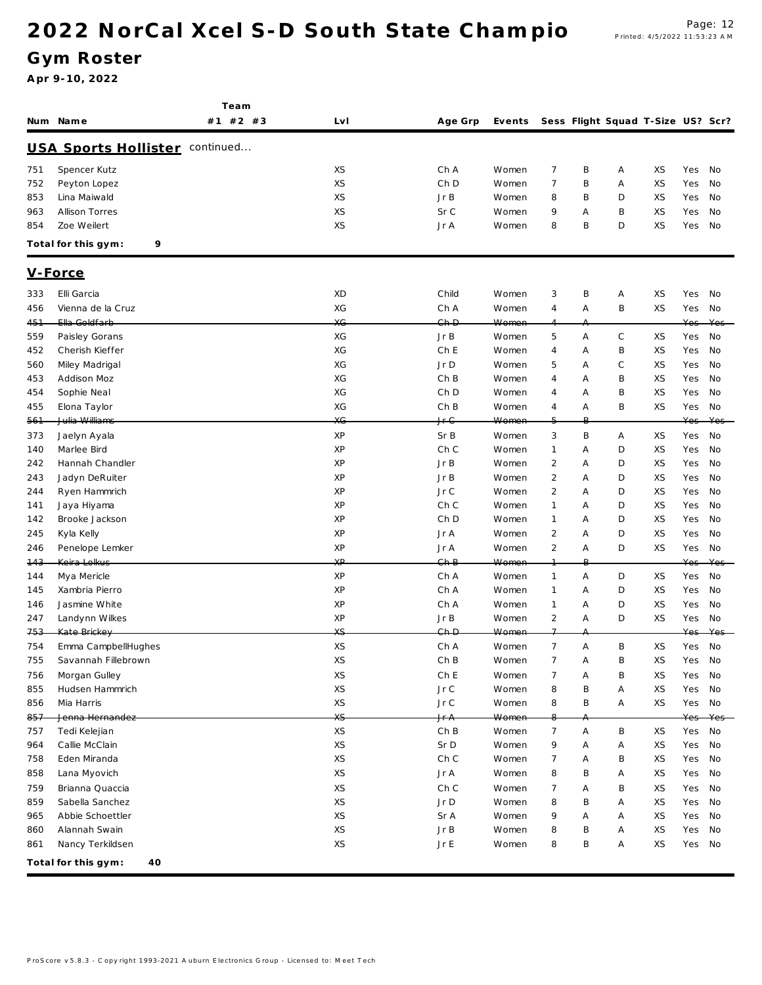Team

Gym Roster

|     | Num Name                              | #1 #2 #3 | Lv I           | Age Grp                      | Events |                |    |             | Sess Flight Squad T-Size US? Scr? |        |      |
|-----|---------------------------------------|----------|----------------|------------------------------|--------|----------------|----|-------------|-----------------------------------|--------|------|
|     | <b>USA Sports Hollister</b> continued |          |                |                              |        |                |    |             |                                   |        |      |
| 751 | Spencer Kutz                          |          | XS             | Ch A                         | Women  | $\overline{7}$ | Β  | Α           | XS                                | Yes    | No   |
| 752 | Peyton Lopez                          |          | XS             | Ch D                         | Women  | $\overline{7}$ | B  | Α           | XS                                | Yes    | No   |
| 853 | Lina Maiwald                          |          | XS             | JrB                          | Women  | 8              | B  | D           | XS                                | Yes    | No   |
| 963 | <b>Allison Torres</b>                 |          | XS             | Sr C                         | Women  | 9              | Α  | B           | XS                                | Yes    | No   |
| 854 | Zoe Weilert                           |          | XS             | Jr A                         | Women  | 8              | B  | D           | XS                                | Yes    | No   |
|     | Total for this gym:<br>9              |          |                |                              |        |                |    |             |                                   |        |      |
|     |                                       |          |                |                              |        |                |    |             |                                   |        |      |
|     | V-Force                               |          |                |                              |        |                |    |             |                                   |        |      |
| 333 | Elli Garcia                           |          | XD             | Child                        | Women  | 3              | Β  | Α           | XS                                | Yes    | No   |
| 456 | Vienna de la Cruz                     |          | ХG             | Ch A                         | Women  | $\overline{4}$ | Α  | B           | XS                                | Yes    | No   |
| 451 | Ella Goldfarb                         |          | X <sub>G</sub> | Ch D                         | Women  |                | Α  |             |                                   | Yes    | Yes  |
| 559 | Paisley Gorans                        |          | ХG             | JrB                          | Women  | $5\,$          | Α  | $\mathsf C$ | XS                                | Yes    | No   |
| 452 | Cherish Kieffer                       |          | XG             | Ch E                         | Women  | $\overline{4}$ | A  | B           | XS                                | Yes    | No   |
| 560 | Miley Madrigal                        |          | ХG             | Jr D                         | Women  | 5              | Α  | C           | XS                                | Yes    | No   |
| 453 | Addison Moz                           |          | XG             | Ch B                         | Women  | $\overline{4}$ | Α  | B           | XS                                | Yes    | No   |
| 454 | Sophie Neal                           |          | ХG             | Ch D                         | Women  | $\overline{4}$ | Α  | B           | XS                                | Yes    | No   |
| 455 | Elona Taylor                          |          | XG             | Ch B                         | Women  | 4              | Α  | B           | XS                                | Yes    | No   |
| 561 | Julia Williams                        |          | X <sub>G</sub> | Jr G                         | Women  | 5              | ₽. |             |                                   | Yes    | Yes- |
| 373 | Jaelyn Ayala                          |          | ΧP             | Sr B                         | Women  | 3              | Β  | Α           | XS                                | Yes    | No   |
| 140 | Marlee Bird                           |          | ΧP             | Ch C                         | Women  | $\mathbf{1}$   | A  | D           | XS                                | Yes    | No   |
| 242 | Hannah Chandler                       |          | XP             | JrB                          | Women  | $\overline{2}$ | A  | D           | XS                                | Yes    | No   |
| 243 | Jadyn DeRuiter                        |          | ΧP             | Jr B                         | Women  | $\overline{2}$ | A  | D           | XS                                | Yes    | No   |
| 244 | Ryen Hammrich                         |          | ΧP             | Jr C                         | Women  | 2              | Α  | D           | XS                                | Yes    | No   |
| 141 | Jaya Hiyama                           |          | ΧP             | Ch C                         | Women  | $\mathbf{1}$   | A  | D           | XS                                | Yes    | No   |
| 142 | Brooke Jackson                        |          | ΧP             | Ch D                         | Women  | $\mathbf{1}$   | Α  | D           | XS                                | Yes    | No   |
| 245 | Kyla Kelly                            |          | ΧP             | Jr A                         | Women  | $\overline{2}$ | Α  | D           | XS                                | Yes    | No   |
| 246 | Penelope Lemker                       |          | ΧP             | Jr A                         | Women  | $\overline{2}$ | Α  | D           | XS                                | Yes    | No   |
| 143 | Keira Lolkus                          |          | XP             | $Gh$ $B$                     | Women  | $\overline{1}$ | В. |             |                                   | Yes    | Yes  |
| 144 | Mya Mericle                           |          | ΧP             | Ch A                         | Women  | $\mathbf{1}$   | Α  | D           | XS                                | Yes    | No   |
| 145 | Xambria Pierro                        |          | XP             | Ch A                         | Women  | $\mathbf{1}$   | A  | D           | XS                                | Yes    | No   |
| 146 | Jasmine White                         |          | ΧP             | Ch A                         | Women  | $\mathbf{1}$   | Α  | D           | XS                                | Yes    | No   |
| 247 | Landynn Wilkes                        |          | ΧP             | JrB                          | Women  | $\overline{2}$ | Α  | D           | XS                                | Yes    | No   |
| 753 | Kate Brickey                          |          | XS             | $Gh$ $D$                     | Women  | $\overline{1}$ | А  |             |                                   | Yes    | Yes- |
| 754 | Emma CampbellHughes                   |          | XS             | Ch A                         | Women  | $\overline{7}$ | Α  | B           | XS                                | Yes    | No   |
| 755 | Savannah Fillebrown                   |          | XS             | ChB                          | Women  | $\overline{7}$ | Α  | B           | XS                                | Yes    | No   |
| 756 | Morgan Gulley                         |          | XS             | ChE                          | Women  | $\overline{7}$ | Α  | B           | XS                                | Yes    | No   |
| 855 | Hudsen Hammrich                       |          | XS             | Jr C                         | Women  | 8              | Β  | Α           | XS                                | Yes    | No   |
| 856 | Mia Harris                            |          | XS             | $\mathsf{J}\,\mathsf{r}\,$ C | Women  | 8              | B  | Α           | XS                                | Yes    | No   |
| 857 | Jenna Hernandez                       |          | XS             | Jr A                         | Women  | 8              |    |             |                                   | Yes    | Yes  |
| 757 | Tedi Kelejian                         |          | XS             | ChB                          | Women  | $\overline{7}$ | Α  | B           | XS                                | Yes    | No   |
| 964 | Callie McClain                        |          | XS             | Sr D                         | Women  | 9              | Α  | Α           | XS                                | Yes    | No   |
| 758 | Eden Miranda                          |          | XS             | Ch C                         | Women  | $\overline{7}$ | Α  | B           | XS                                | Yes    | No   |
| 858 | Lana Myovich                          |          | XS             | Jr A                         | Women  | 8              | Β  | Α           | XS                                | Yes    | No   |
| 759 | Brianna Quaccia                       |          | XS             | Ch C                         | Women  | 7              | Α  | B           | XS                                | Yes    | No   |
| 859 | Sabella Sanchez                       |          | XS             | Jr D                         | Women  | 8              | B  | Α           | XS                                | Yes    | No   |
| 965 | Abbie Schoettler                      |          | XS             | Sr A                         | Women  | 9              | Α  | Α           | XS                                | Yes    | No   |
| 860 | Alannah Swain                         |          | XS             | JrB                          | Women  | 8              | Β  | Α           | XS                                | Yes    | No   |
| 861 | Nancy Terkildsen                      |          | XS             | Jr E                         | Women  | 8              | B  | Α           | XS                                | Yes No |      |
|     |                                       |          |                |                              |        |                |    |             |                                   |        |      |
|     | Total for this gym:<br>40             |          |                |                              |        |                |    |             |                                   |        |      |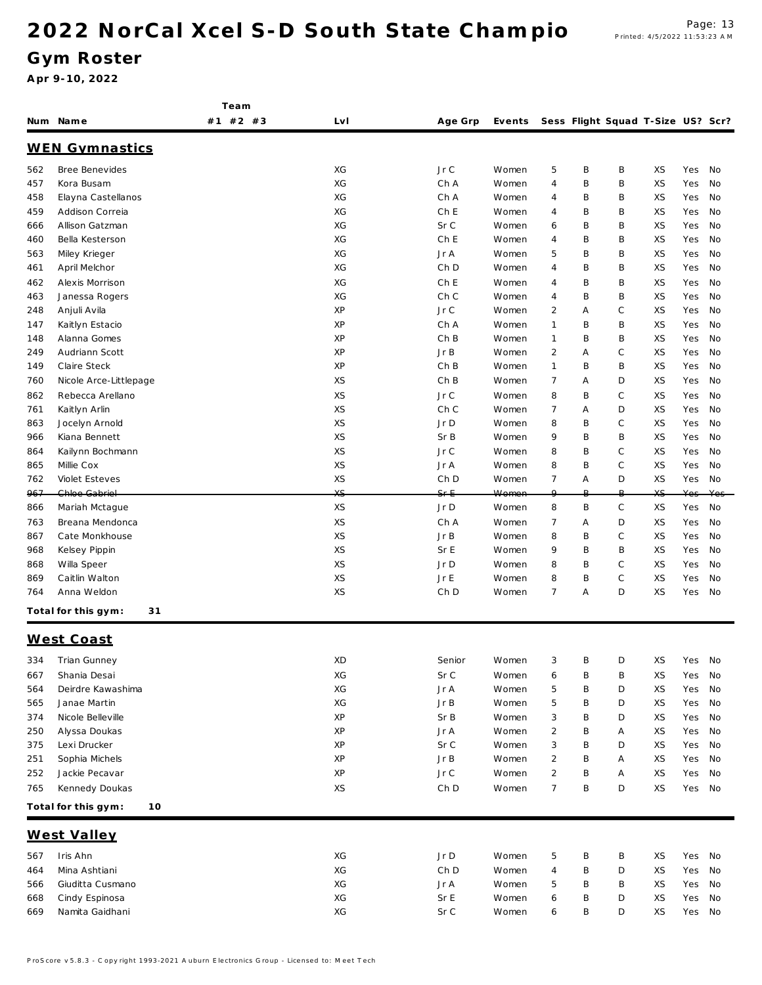Team

#### Gym Roster

|     | Num Name                  | #1 #2 #3 | Lv I     | Age Grp      | Events |                         |   | Sess Flight Squad T-Size US? Scr? |          |        |     |
|-----|---------------------------|----------|----------|--------------|--------|-------------------------|---|-----------------------------------|----------|--------|-----|
|     | <b>WEN Gymnastics</b>     |          |          |              |        |                         |   |                                   |          |        |     |
| 562 | Bree Benevides            |          | ХG       | Jr C         | Women  | 5                       | Β | B                                 | XS       | Yes    | No  |
| 457 | Kora Busam                |          | XG       | Ch A         | Women  | 4                       | Β | B                                 | XS       | Yes    | No  |
| 458 | Elayna Castellanos        |          | ХG       | Ch A         | Women  | 4                       | Β | B                                 | XS       | Yes    | No  |
| 459 | Addison Correia           |          | ХG       | Ch E         | Women  | 4                       | Β | B                                 | XS       | Yes    | No  |
| 666 | Allison Gatzman           |          | ХG       | Sr C         | Women  | 6                       | Β | B                                 | XS       | Yes    | No  |
| 460 | Bella Kesterson           |          | XG       | Ch E         | Women  | 4                       | Β | B                                 | XS       | Yes    | No  |
| 563 | Miley Krieger             |          | ХG       | Jr A         | Women  | 5                       | Β | B                                 | XS       | Yes    | No  |
| 461 | April Melchor             |          | XG       | Ch D         | Women  | 4                       | Β | B                                 | XS       | Yes    | No  |
| 462 | Alexis Morrison           |          | XG       | Ch E         | Women  | 4                       | Β | B                                 | XS       | Yes    | No  |
| 463 | Janessa Rogers            |          | ХG       | Ch C         | Women  | 4                       | Β | B                                 | XS       | Yes    | No  |
| 248 | Anjuli Avila              |          | XP       | Jr C         | Women  | $\overline{2}$          | Α | C                                 | XS       | Yes    | No  |
| 147 | Kaitlyn Estacio           |          | XP       | Ch A         | Women  | 1                       | Β | B                                 | XS       | Yes    | No  |
| 148 | Alanna Gomes              |          | XP       | Ch B         | Women  | 1                       | Β | B                                 | XS       | Yes    | No  |
| 249 | Audriann Scott            |          | XP       | JrB          | Women  | $\overline{2}$          | Α | C                                 | XS       | Yes    | No  |
| 149 | Claire Steck              |          | XP       | Ch B         | Women  | $\mathbf{1}$            | Β | B                                 | XS       | Yes    | No  |
| 760 | Nicole Arce-Littlepage    |          | XS       | Ch B         | Women  | $\overline{7}$          | Α | D                                 | XS       | Yes    | No  |
| 862 | Rebecca Arellano          |          | XS       | Jr C         | Women  | 8                       | Β | C                                 | XS       | Yes    | No  |
| 761 | Kaitlyn Arlin             |          | XS       | Ch C         | Women  | 7                       | Α | D                                 | XS       | Yes    | No  |
| 863 | Jocelyn Arnold            |          | XS       | Jr D         | Women  | 8                       | Β | C                                 | XS       | Yes    | No  |
| 966 | Kiana Bennett             |          | XS       | Sr B         | Women  | 9                       | Β | B                                 | XS       | Yes    | No  |
| 864 | Kailynn Bochmann          |          | XS       | Jr C         | Women  | 8                       | Β | С                                 | XS       | Yes    | No  |
| 865 | Millie Cox                |          | XS       | Jr A         | Women  | 8                       | Β | $\mathsf{C}$                      | XS       | Yes    | No  |
| 762 | Violet Esteves            |          | XS       | Ch D         | Women  | $\overline{7}$          | Α | D                                 | XS       | Yes    | No  |
| 967 | Chloe Gabriel             |          | XS.      | $Sf - E$     | Women  | $\Omega$                | B | B                                 | XS       | Yes    | Yes |
| 866 | Mariah Mctague            |          | XS       | Jr D         | Women  | 8                       | B | $\mathsf C$                       | XS       | Yes    | No  |
| 763 | Breana Mendonca           |          | XS       | Ch A         | Women  | 7                       | Α | D                                 | XS       | Yes    | No  |
| 867 | Cate Monkhouse            |          | XS       | JrB          | Women  | 8                       | B | C                                 | XS       | Yes    | No  |
| 968 | Kelsey Pippin             |          | XS       | Sr E         | Women  | 9                       | Β | B                                 | XS       | Yes    | No  |
| 868 | Willa Speer               |          | XS       | Jr D         | Women  | 8                       | Β | С                                 | XS       | Yes    | No  |
| 869 | Caitlin Walton            |          | XS       | Jr E         | Women  | 8                       | Β | С                                 | XS       | Yes    | No  |
| 764 | Anna Weldon               |          | XS       | Ch D         | Women  | 7                       | Α | D                                 | XS       | Yes    | No  |
|     | Total for this gym:<br>31 |          |          |              |        |                         |   |                                   |          |        |     |
|     | West Coast                |          |          |              |        |                         |   |                                   |          |        |     |
| 334 | Trian Gunney              |          | XD       | Senior       | Women  | 3                       | B | D                                 | XS       | Yes    | No  |
| 667 | Shania Desai              |          | ХG       | Sr C         | Women  | 6                       | Β | Β                                 | XS       | Yes    | No  |
| 564 | Deirdre Kawashima         |          | XG       | Jr A         | Women  | 5                       | Β | D                                 | XS       | Yes    | No  |
| 565 | Janae Martin              |          | ХG       | JrB          | Women  | 5                       | Β | D                                 | XS       | Yes    | No  |
| 374 | Nicole Belleville         |          | XP       | Sr B         | Women  | 3                       | Β | D                                 | XS       | Yes    | No  |
| 250 | Alyssa Doukas             |          | XP       | Jr A         | Women  | $\overline{\mathbf{c}}$ | Β | Α                                 | XS       | Yes    | No  |
| 375 | Lexi Drucker              |          | XP       | Sr C         | Women  | 3                       | Β | D                                 | XS       | Yes    | No  |
| 251 | Sophia Michels            |          | XP       | Jr B         | Women  | $\overline{c}$          | Β | Α                                 | XS       | Yes    | No  |
| 252 | Jackie Pecavar            |          | XP       | Jr C         | Women  | $\overline{c}$          | Β | Α                                 | XS       | Yes    | No  |
| 765 | Kennedy Doukas            |          | XS       | Ch D         | Women  | 7                       | Β | D                                 | XS       | Yes    | No  |
|     | Total for this gym:<br>10 |          |          |              |        |                         |   |                                   |          |        |     |
|     |                           |          |          |              |        |                         |   |                                   |          |        |     |
|     | West Valley               |          |          |              |        |                         |   |                                   |          |        |     |
| 567 | Iris Ahn                  |          | ХG       | Jr D         | Women  | 5                       | Β | Β                                 | XS       | Yes    | No  |
| 464 | Mina Ashtiani             |          | XG       | Ch D         | Women  | 4                       | Β | D                                 | XS       | Yes    | No  |
| 566 | Giuditta Cusmano          |          | ХG       | Jr A         | Women  | 5                       | Β | B                                 | XS       | Yes    | No  |
| 668 | Cindy Espinosa            |          | XG<br>ХG | Sr E<br>Sr C | Women  | 6                       | Β | D<br>D                            | XS<br>XS | Yes    | No  |
| 669 | Namita Gaidhani           |          |          |              | Women  | 6                       | Β |                                   |          | Yes No |     |